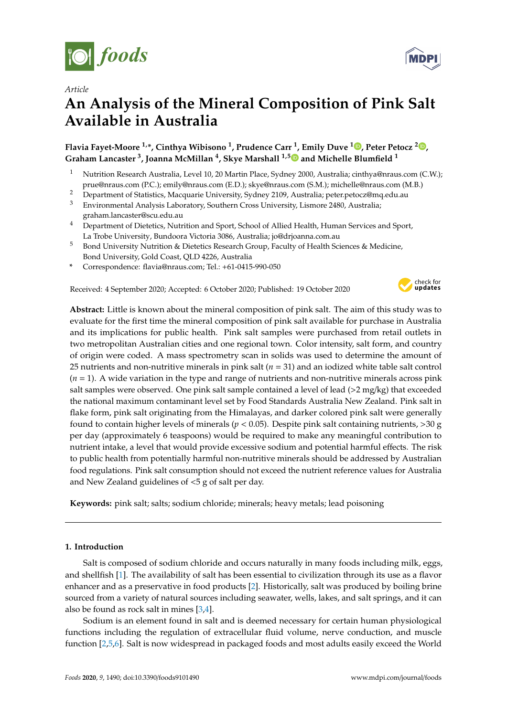



# **An Analysis of the Mineral Composition of Pink Salt Available in Australia**

## **Flavia Fayet-Moore 1,\*, Cinthya Wibisono <sup>1</sup> , Prudence Carr <sup>1</sup> , Emily Duve <sup>1</sup> [,](https://orcid.org/0000-0002-2608-1916) Peter Petocz <sup>2</sup> [,](https://orcid.org/0000-0002-1266-0060) Graham Lancaster <sup>3</sup> , Joanna McMillan <sup>4</sup> , Skye Marshall 1,[5](https://orcid.org/0000-0001-8953-5068) and Michelle Blumfield <sup>1</sup>**

- <sup>1</sup> Nutrition Research Australia, Level 10, 20 Martin Place, Sydney 2000, Australia; cinthya@nraus.com (C.W.); prue@nraus.com (P.C.); emily@nraus.com (E.D.); skye@nraus.com (S.M.); michelle@nraus.com (M.B.)
- <sup>2</sup> Department of Statistics, Macquarie University, Sydney 2109, Australia; peter.petocz@mq.edu.au
- <sup>3</sup> Environmental Analysis Laboratory, Southern Cross University, Lismore 2480, Australia; graham.lancaster@scu.edu.au
- <sup>4</sup> Department of Dietetics, Nutrition and Sport, School of Allied Health, Human Services and Sport, La Trobe University, Bundoora Victoria 3086, Australia; jo@drjoanna.com.au
- <sup>5</sup> Bond University Nutrition & Dietetics Research Group, Faculty of Health Sciences & Medicine, Bond University, Gold Coast, QLD 4226, Australia
- **\*** Correspondence: flavia@nraus.com; Tel.: +61-0415-990-050

Received: 4 September 2020; Accepted: 6 October 2020; Published: 19 October 2020



**Abstract:** Little is known about the mineral composition of pink salt. The aim of this study was to evaluate for the first time the mineral composition of pink salt available for purchase in Australia and its implications for public health. Pink salt samples were purchased from retail outlets in two metropolitan Australian cities and one regional town. Color intensity, salt form, and country of origin were coded. A mass spectrometry scan in solids was used to determine the amount of 25 nutrients and non-nutritive minerals in pink salt (*n* = 31) and an iodized white table salt control (*n* = 1). A wide variation in the type and range of nutrients and non-nutritive minerals across pink salt samples were observed. One pink salt sample contained a level of lead (>2 mg/kg) that exceeded the national maximum contaminant level set by Food Standards Australia New Zealand. Pink salt in flake form, pink salt originating from the Himalayas, and darker colored pink salt were generally found to contain higher levels of minerals ( $p < 0.05$ ). Despite pink salt containing nutrients,  $>$ 30 g per day (approximately 6 teaspoons) would be required to make any meaningful contribution to nutrient intake, a level that would provide excessive sodium and potential harmful effects. The risk to public health from potentially harmful non-nutritive minerals should be addressed by Australian food regulations. Pink salt consumption should not exceed the nutrient reference values for Australia and New Zealand guidelines of <5 g of salt per day.

**Keywords:** pink salt; salts; sodium chloride; minerals; heavy metals; lead poisoning

## **1. Introduction**

Salt is composed of sodium chloride and occurs naturally in many foods including milk, eggs, and shellfish [\[1\]](#page-12-0). The availability of salt has been essential to civilization through its use as a flavor enhancer and as a preservative in food products [\[2\]](#page-12-1). Historically, salt was produced by boiling brine sourced from a variety of natural sources including seawater, wells, lakes, and salt springs, and it can also be found as rock salt in mines [\[3,](#page-12-2)[4\]](#page-12-3).

Sodium is an element found in salt and is deemed necessary for certain human physiological functions including the regulation of extracellular fluid volume, nerve conduction, and muscle function [\[2](#page-12-1)[,5](#page-12-4)[,6\]](#page-12-5). Salt is now widespread in packaged foods and most adults easily exceed the World

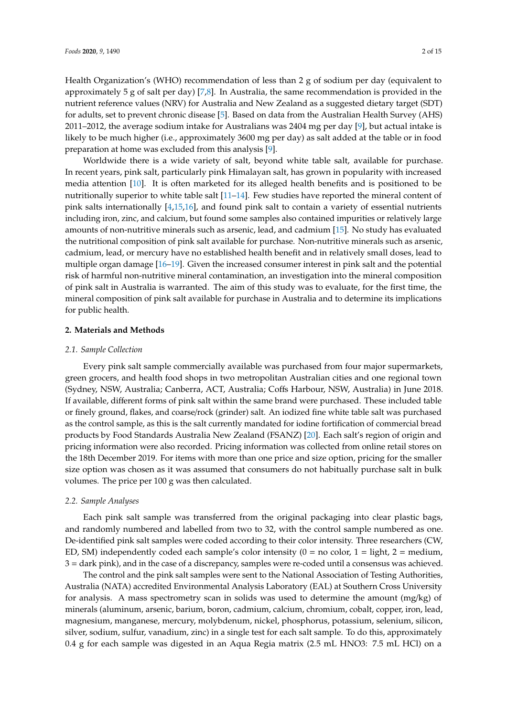Health Organization's (WHO) recommendation of less than 2 g of sodium per day (equivalent to approximately 5 g of salt per day) [\[7](#page-12-6)[,8\]](#page-12-7). In Australia, the same recommendation is provided in the nutrient reference values (NRV) for Australia and New Zealand as a suggested dietary target (SDT) for adults, set to prevent chronic disease [\[5\]](#page-12-4). Based on data from the Australian Health Survey (AHS) 2011–2012, the average sodium intake for Australians was 2404 mg per day [\[9\]](#page-12-8), but actual intake is likely to be much higher (i.e., approximately 3600 mg per day) as salt added at the table or in food preparation at home was excluded from this analysis [\[9\]](#page-12-8).

Worldwide there is a wide variety of salt, beyond white table salt, available for purchase. In recent years, pink salt, particularly pink Himalayan salt, has grown in popularity with increased media attention [\[10\]](#page-12-9). It is often marketed for its alleged health benefits and is positioned to be nutritionally superior to white table salt [\[11–](#page-12-10)[14\]](#page-12-11). Few studies have reported the mineral content of pink salts internationally [\[4,](#page-12-3)[15](#page-12-12)[,16\]](#page-12-13), and found pink salt to contain a variety of essential nutrients including iron, zinc, and calcium, but found some samples also contained impurities or relatively large amounts of non-nutritive minerals such as arsenic, lead, and cadmium [\[15\]](#page-12-12). No study has evaluated the nutritional composition of pink salt available for purchase. Non-nutritive minerals such as arsenic, cadmium, lead, or mercury have no established health benefit and in relatively small doses, lead to multiple organ damage [\[16–](#page-12-13)[19\]](#page-13-0). Given the increased consumer interest in pink salt and the potential risk of harmful non-nutritive mineral contamination, an investigation into the mineral composition of pink salt in Australia is warranted. The aim of this study was to evaluate, for the first time, the mineral composition of pink salt available for purchase in Australia and to determine its implications for public health.

#### **2. Materials and Methods**

#### *2.1. Sample Collection*

Every pink salt sample commercially available was purchased from four major supermarkets, green grocers, and health food shops in two metropolitan Australian cities and one regional town (Sydney, NSW, Australia; Canberra, ACT, Australia; Coffs Harbour, NSW, Australia) in June 2018. If available, different forms of pink salt within the same brand were purchased. These included table or finely ground, flakes, and coarse/rock (grinder) salt. An iodized fine white table salt was purchased as the control sample, as this is the salt currently mandated for iodine fortification of commercial bread products by Food Standards Australia New Zealand (FSANZ) [\[20\]](#page-13-1). Each salt's region of origin and pricing information were also recorded. Pricing information was collected from online retail stores on the 18th December 2019. For items with more than one price and size option, pricing for the smaller size option was chosen as it was assumed that consumers do not habitually purchase salt in bulk volumes. The price per 100 g was then calculated.

## *2.2. Sample Analyses*

Each pink salt sample was transferred from the original packaging into clear plastic bags, and randomly numbered and labelled from two to 32, with the control sample numbered as one. De-identified pink salt samples were coded according to their color intensity. Three researchers (CW, ED, SM) independently coded each sample's color intensity  $(0 = no color, 1 = light, 2 = medium,$ 3 = dark pink), and in the case of a discrepancy, samples were re-coded until a consensus was achieved.

The control and the pink salt samples were sent to the National Association of Testing Authorities, Australia (NATA) accredited Environmental Analysis Laboratory (EAL) at Southern Cross University for analysis. A mass spectrometry scan in solids was used to determine the amount (mg/kg) of minerals (aluminum, arsenic, barium, boron, cadmium, calcium, chromium, cobalt, copper, iron, lead, magnesium, manganese, mercury, molybdenum, nickel, phosphorus, potassium, selenium, silicon, silver, sodium, sulfur, vanadium, zinc) in a single test for each salt sample. To do this, approximately 0.4 g for each sample was digested in an Aqua Regia matrix (2.5 mL HNO3: 7.5 mL HCl) on a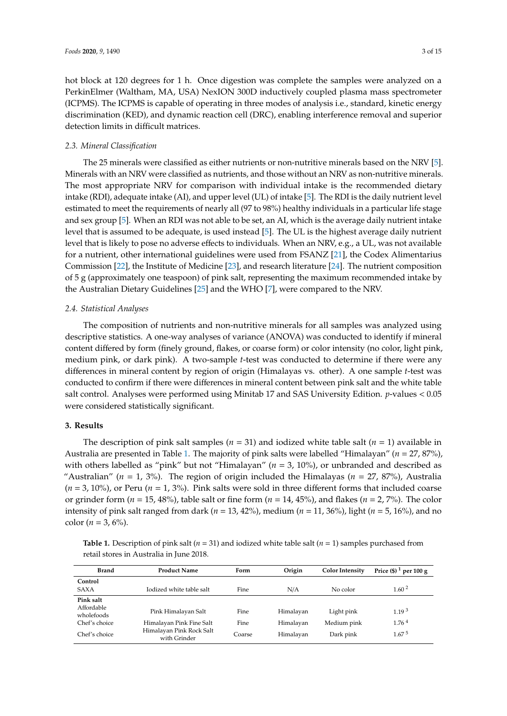hot block at 120 degrees for 1 h. Once digestion was complete the samples were analyzed on a PerkinElmer (Waltham, MA, USA) NexION 300D inductively coupled plasma mass spectrometer (ICPMS). The ICPMS is capable of operating in three modes of analysis i.e., standard, kinetic energy discrimination (KED), and dynamic reaction cell (DRC), enabling interference removal and superior detection limits in difficult matrices.

## *2.3. Mineral Classification*

The 25 minerals were classified as either nutrients or non-nutritive minerals based on the NRV [\[5\]](#page-12-4). Minerals with an NRV were classified as nutrients, and those without an NRV as non-nutritive minerals. The most appropriate NRV for comparison with individual intake is the recommended dietary intake (RDI), adequate intake (AI), and upper level (UL) of intake [\[5\]](#page-12-4). The RDI is the daily nutrient level estimated to meet the requirements of nearly all (97 to 98%) healthy individuals in a particular life stage and sex group [\[5\]](#page-12-4). When an RDI was not able to be set, an AI, which is the average daily nutrient intake level that is assumed to be adequate, is used instead [\[5\]](#page-12-4). The UL is the highest average daily nutrient level that is likely to pose no adverse effects to individuals. When an NRV, e.g., a UL, was not available for a nutrient, other international guidelines were used from FSANZ [\[21\]](#page-13-2), the Codex Alimentarius Commission [\[22\]](#page-13-3), the Institute of Medicine [\[23\]](#page-13-4), and research literature [\[24\]](#page-13-5). The nutrient composition of 5 g (approximately one teaspoon) of pink salt, representing the maximum recommended intake by the Australian Dietary Guidelines [\[25\]](#page-13-6) and the WHO [\[7\]](#page-12-6), were compared to the NRV.

#### *2.4. Statistical Analyses*

The composition of nutrients and non-nutritive minerals for all samples was analyzed using descriptive statistics. A one-way analyses of variance (ANOVA) was conducted to identify if mineral content differed by form (finely ground, flakes, or coarse form) or color intensity (no color, light pink, medium pink, or dark pink). A two-sample *t*-test was conducted to determine if there were any differences in mineral content by region of origin (Himalayas vs. other). A one sample *t*-test was conducted to confirm if there were differences in mineral content between pink salt and the white table salt control. Analyses were performed using Minitab 17 and SAS University Edition. *p*-values < 0.05 were considered statistically significant.

## **3. Results**

The description of pink salt samples  $(n = 31)$  and iodized white table salt  $(n = 1)$  available in Australia are presented in Table [1.](#page-3-0) The majority of pink salts were labelled "Himalayan" (*n* = 27, 87%), with others labelled as "pink" but not "Himalayan" (*n* = 3, 10%), or unbranded and described as "Australian" ( $n = 1$ , 3%). The region of origin included the Himalayas ( $n = 27$ , 87%), Australia  $(n = 3, 10\%)$ , or Peru  $(n = 1, 3\%)$ . Pink salts were sold in three different forms that included coarse or grinder form (*n* = 15, 48%), table salt or fine form (*n* = 14, 45%), and flakes (*n* = 2, 7%). The color intensity of pink salt ranged from dark (*n* = 13, 42%), medium (*n* = 11, 36%), light (*n* = 5, 16%), and no color ( $n = 3, 6\%$ ).

**Table 1.** Description of pink salt ( $n = 31$ ) and iodized white table salt ( $n = 1$ ) samples purchased from retail stores in Australia in June 2018.

| <b>Brand</b>                                                            | <b>Product Name</b>                                                                         | Form                   | Origin                              | <b>Color Intensity</b>                 | Price $(\frac{1}{2})^1$ per 100 g                           |
|-------------------------------------------------------------------------|---------------------------------------------------------------------------------------------|------------------------|-------------------------------------|----------------------------------------|-------------------------------------------------------------|
| Control<br><b>SAXA</b>                                                  | Iodized white table salt                                                                    | Fine                   | N/A                                 | No color                               | 1.60 <sup>2</sup>                                           |
| Pink salt<br>Affordable<br>wholefoods<br>Chef's choice<br>Chef's choice | Pink Himalayan Salt<br>Himalayan Pink Fine Salt<br>Himalayan Pink Rock Salt<br>with Grinder | Fine<br>Fine<br>Coarse | Himalayan<br>Himalayan<br>Himalayan | Light pink<br>Medium pink<br>Dark pink | 1.19 <sup>3</sup><br>1.76 <sup>4</sup><br>1.67 <sup>5</sup> |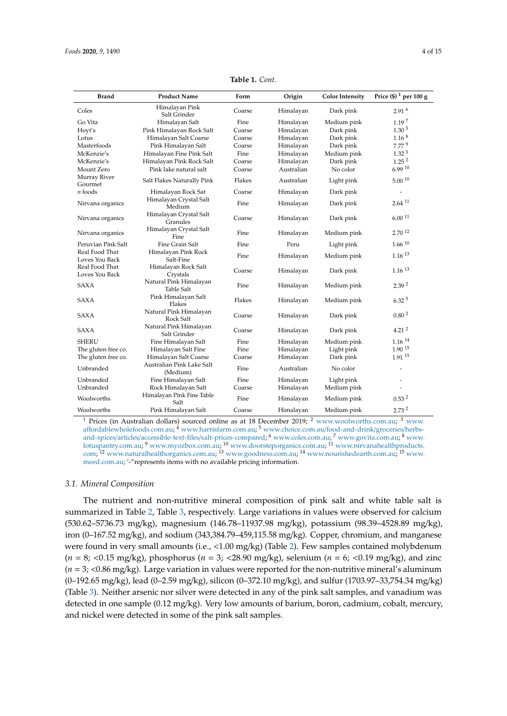<span id="page-3-0"></span>

| <b>Brand</b>                     | <b>Product Name</b>                         | Form   | Origin     | <b>Color Intensity</b> | Price $(\$)^1$ per 100 g     |
|----------------------------------|---------------------------------------------|--------|------------|------------------------|------------------------------|
| Coles                            | Himalayan Pink<br>Salt Grinder              | Coarse | Himalayan  | Dark pink              | 2.91 <sup>6</sup>            |
| Go Vita                          | Himalayan Salt                              | Fine   | Himalayan  | Medium pink            | 1.19 <sup>7</sup>            |
| Hoyt's                           | Pink Himalayan Rock Salt                    | Coarse | Himalayan  | Dark pink              | 1.30 <sup>5</sup>            |
| Lotus                            | Himalayan Salt Coarse                       | Coarse | Himalayan  | Dark pink              | $1.16^{8}$                   |
| Masterfoods                      | Pink Himalayan Salt                         | Coarse | Himalayan  | Dark pink              | 7.77 <sup>9</sup>            |
| McKenzie's                       | Himalayan Fine Pink Salt                    | Fine   | Himalayan  | Medium pink            | 1.32 <sup>5</sup>            |
| McKenzie's                       | Himalayan Pink Rock Salt                    | Coarse | Himalayan  | Dark pink              | 1.25 <sup>2</sup>            |
| Mount Zero                       | Pink lake natural salt                      | Coarse | Australian | No color               | 6.9910                       |
| Murray River<br>Gourmet          | Salt Flakes Naturally Pink                  | Flakes | Australian | Light pink             | 5.00110                      |
| $n$ foods                        | Himalayan Rock Sat                          | Coarse | Himalayan  | Dark pink              |                              |
| Nirvana organics                 | Himalayan Crystal Salt<br>Medium            | Fine   | Himalayan  | Dark pink              | $2.64^{11}$                  |
| Nirvana organics                 | Himalayan Crystal Salt<br>Granules          | Coarse | Himalayan  | Dark pink              | 6.0011                       |
| Nirvana organics                 | Himalayan Crystal Salt<br>Fine              | Fine   | Himalayan  | Medium pink            | $2.70^{12}$                  |
| Peruvian Pink Salt               | Fine Grain Salt                             | Fine   | Peru       | Light pink             | $1.66^{10}$                  |
| Real Food That<br>Loves You Back | Himalayan Pink Rock<br>Salt-Fine            | Fine   | Himalayan  | Medium pink            | $1.16^{13}$                  |
| Real Food That<br>Loves You Back | Himalayan Rock Salt<br>Crystals             | Coarse | Himalayan  | Dark pink              | $1.16^{13}$                  |
| <b>SAXA</b>                      | Natural Pink Himalayan<br><b>Table Salt</b> | Fine   | Himalayan  | Medium pink            | 2.39 <sup>2</sup>            |
| <b>SAXA</b>                      | Pink Himalayan Salt<br>Flakes               | Flakes | Himalayan  | Medium pink            | $6.32^{5}$                   |
| <b>SAXA</b>                      | Natural Pink Himalayan<br>Rock Salt         | Coarse | Himalayan  | Dark pink              | 0.80 <sup>2</sup>            |
| <b>SAXA</b>                      | Natural Pink Himalayan<br>Salt Grinder      | Coarse | Himalayan  | Dark pink              | 4.21 <sup>2</sup>            |
| <b>SHERU</b>                     | Fine Himalayan Salt                         | Fine   | Himalayan  | Medium pink            | $1.16\ ^{14}$                |
| The gluten free co.              | Himalayan Salt Fine                         | Fine   | Himalayan  | Light pink             | $1.90^{15}$                  |
| The gluten free co.              | Himalayan Salt Coarse                       | Coarse | Himalayan  | Dark pink              | $1.91^{15}$                  |
| Unbranded                        | Australian Pink Lake Salt<br>(Medium)       | Fine   | Australian | No color               | $\qquad \qquad \blacksquare$ |
| Unbranded                        | Fine Himalayan Salt                         | Fine   | Himalayan  | Light pink             |                              |
| Unbranded                        | Rock Himalayan Salt                         | Coarse | Himalayan  | Medium pink            |                              |
| Woolworths                       | Himalayan Pink Fine Table<br>Salt           | Fine   | Himalayan  | Medium pink            | 0.53 <sup>2</sup>            |
| Woolworths                       | Pink Himalayan Salt                         | Coarse | Himalayan  | Medium pink            | 2.73 <sup>2</sup>            |

**Table 1.** *Cont.*

<sup>1</sup> Prices (in Australian dollars) sourced online as at 18 December 2019;  $^2$  [www.woolworths.com.au;](www.woolworths.com.au)  $^3$  [www.](www.affordablewholefoods.com.au) aff[ordablewholefoods.com.au;](www.affordablewholefoods.com.au) <sup>4</sup> [www.harrisfarm.com.au;](www.harrisfarm.com.au) <sup>5</sup> [www.choice.com.au](www.choice.com.au/food-and-drink/groceries/herbs-and-spices/articles/accessible-text-files/salt-prices-compared)/food-and-drink/groceries/herbsand-spices/articles/accessible-text-files/[salt-prices-compared;](www.choice.com.au/food-and-drink/groceries/herbs-and-spices/articles/accessible-text-files/salt-prices-compared) <sup>6</sup> [www.coles.com.au;](www.coles.com.au) <sup>7</sup> [www.govita.com.au;](www.govita.com.au) <sup>8</sup> [www.](www.lotuspantry.com.au) [lotuspantry.com.au;](www.lotuspantry.com.au) <sup>9</sup> [www.myozbox.com.au;](www.myozbox.com.au) <sup>10</sup> [www.doorsteporganics.com.au;](www.doorsteporganics.com.au) <sup>11</sup> [www.nirvanahealthproducts.](www.nirvanahealthproducts.com) [com;](www.nirvanahealthproducts.com) <sup>12</sup> [www.naturalhealthorganics.com.au;](www.naturalhealthorganics.com.au) <sup>13</sup> [www.goodness.com.au;](www.goodness.com.au) <sup>14</sup> [www.nourishedearth.com.au;](www.nourishedearth.com.au) <sup>15</sup> [www.](www.meed.com.au) [meed.com.au;](www.meed.com.au) '-"represents items with no available pricing information.

#### *3.1. Mineral Composition*

The nutrient and non-nutritive mineral composition of pink salt and white table salt is summarized in Table [2,](#page-4-0) Table [3,](#page-5-0) respectively. Large variations in values were observed for calcium (530.62–5736.73 mg/kg), magnesium (146.78–11937.98 mg/kg), potassium (98.39–4528.89 mg/kg), iron (0–167.52 mg/kg), and sodium (343,384.79–459,115.58 mg/kg). Copper, chromium, and manganese were found in very small amounts (i.e., <1.00 mg/kg) (Table [2\)](#page-4-0). Few samples contained molybdenum (*n* = 8; <0.15 mg/kg), phosphorus (*n* = 3; <28.90 mg/kg), selenium (*n* = 6; <0.19 mg/kg), and zinc (*n* = 3; <0.86 mg/kg). Large variation in values were reported for the non-nutritive mineral's aluminum (0–192.65 mg/kg), lead (0–2.59 mg/kg), silicon (0–372.10 mg/kg), and sulfur (1703.97–33,754.34 mg/kg) (Table [3\)](#page-5-0). Neither arsenic nor silver were detected in any of the pink salt samples, and vanadium was detected in one sample (0.12 mg/kg). Very low amounts of barium, boron, cadmium, cobalt, mercury, and nickel were detected in some of the pink salt samples.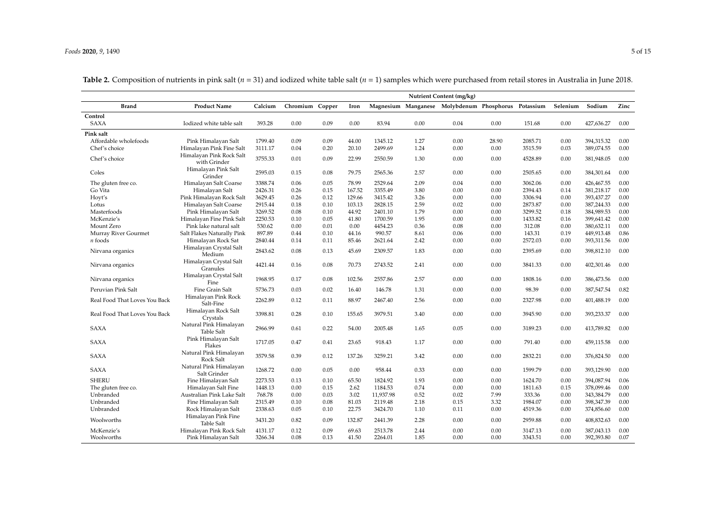<span id="page-4-0"></span>

|                               | Nutrient Content (mg/kg)                    |         |                 |      |        |           |      |                                                     |       |         |          |            |          |
|-------------------------------|---------------------------------------------|---------|-----------------|------|--------|-----------|------|-----------------------------------------------------|-------|---------|----------|------------|----------|
| <b>Brand</b>                  | <b>Product Name</b>                         | Calcium | Chromium Copper |      | Iron   |           |      | Magnesium Manganese Molybdenum Phosphorus Potassium |       |         | Selenium | Sodium     | Zinc     |
| Control                       |                                             |         |                 |      |        |           |      |                                                     |       |         |          |            |          |
| <b>SAXA</b>                   | Iodized white table salt                    | 393.28  | 0.00            | 0.09 | 0.00   | 83.94     | 0.00 | 0.04                                                | 0.00  | 151.68  | 0.00     | 427,636.27 | 0.00     |
| Pink salt                     |                                             |         |                 |      |        |           |      |                                                     |       |         |          |            |          |
| Affordable wholefoods         | Pink Himalayan Salt                         | 1799.40 | 0.09            | 0.09 | 44.00  | 1345.12   | 1.27 | 0.00                                                | 28.90 | 2085.71 | 0.00     | 394,315.32 | 0.00     |
| Chef's choice                 | Himalayan Pink Fine Salt                    | 3111.17 | 0.04            | 0.20 | 20.10  | 2499.69   | 1.24 | 0.00                                                | 0.00  | 3515.59 | 0.03     | 389,074.55 | 0.00     |
| Chef's choice                 | Himalayan Pink Rock Salt<br>with Grinder    | 3755.33 | 0.01            | 0.09 | 22.99  | 2550.59   | 1.30 | 0.00                                                | 0.00  | 4528.89 | 0.00     | 381,948.05 | 0.00     |
| Coles                         | Himalayan Pink Salt<br>Grinder              | 2595.03 | 0.15            | 0.08 | 79.75  | 2565.36   | 2.57 | 0.00                                                | 0.00  | 2505.65 | 0.00     | 384,301.64 | 0.00     |
| The gluten free co.           | Himalayan Salt Coarse                       | 3388.74 | 0.06            | 0.05 | 78.99  | 2529.64   | 2.09 | 0.04                                                | 0.00  | 3062.06 | 0.00     | 426,467.55 | 0.00     |
| Go Vita                       | Himalayan Salt                              | 2426.31 | 0.26            | 0.15 | 167.52 | 3355.49   | 3.80 | 0.00                                                | 0.00  | 2394.43 | 0.14     | 381,218.17 | 0.00     |
| Hoyt's                        | Pink Himalayan Rock Salt                    | 3629.45 | 0.26            | 0.12 | 129.66 | 3415.42   | 3.26 | 0.00                                                | 0.00  | 3306.94 | 0.00     | 393,437.27 | 0.00     |
| Lotus                         | Himalayan Salt Coarse                       | 2915.44 | 0.18            | 0.10 | 103.13 | 2828.15   | 2.59 | 0.02                                                | 0.00  | 2873.87 | 0.00     | 387,244.33 | 0.00     |
| Masterfoods                   | Pink Himalayan Salt                         | 3269.52 | 0.08            | 0.10 | 44.92  | 2401.10   | 1.79 | 0.00                                                | 0.00  | 3299.52 | 0.18     | 384,989.53 | 0.00     |
| McKenzie's                    | Himalayan Fine Pink Salt                    | 2250.53 | 0.10            | 0.05 | 41.80  | 1700.59   | 1.95 | 0.00                                                | 0.00  | 1433.82 | 0.16     | 399,641.42 | 0.00     |
| Mount Zero                    | Pink lake natural salt                      | 530.62  | 0.00            | 0.01 | 0.00   | 4454.23   | 0.36 | 0.08                                                | 0.00  | 312.08  | 0.00     | 380,632.11 | 0.00     |
| Murray River Gourmet          | Salt Flakes Naturally Pink                  | 897.89  | 0.44            | 0.10 | 44.16  | 990.57    | 8.61 | 0.06                                                | 0.00  | 143.31  | 0.19     | 449,913.48 | 0.86     |
| $n$ foods                     | Himalayan Rock Sat                          | 2840.44 | 0.14            | 0.11 | 85.46  | 2621.64   | 2.42 | 0.00                                                | 0.00  | 2572.03 | 0.00     | 393,311.56 | 0.00     |
| Nirvana organics              | Himalayan Crystal Salt<br>Medium            | 2843.62 | 0.08            | 0.13 | 45.69  | 2309.57   | 1.83 | 0.00                                                | 0.00  | 2395.69 | 0.00     | 398,812.10 | 0.00     |
| Nirvana organics              | Himalayan Crystal Salt<br>Granules          | 4421.44 | 0.16            | 0.08 | 70.73  | 2743.52   | 2.41 | 0.00                                                | 0.00  | 3841.33 | 0.00     | 402,301.46 | 0.00     |
| Nirvana organics              | Himalayan Crystal Salt<br>Fine              | 1968.95 | 0.17            | 0.08 | 102.56 | 2557.86   | 2.57 | 0.00                                                | 0.00  | 1808.16 | 0.00     | 386,473.56 | 0.00     |
| Peruvian Pink Salt            | Fine Grain Salt                             | 5736.73 | 0.03            | 0.02 | 16.40  | 146.78    | 1.31 | 0.00                                                | 0.00  | 98.39   | 0.00     | 387,547.54 | 0.82     |
| Real Food That Loves You Back | Himalayan Pink Rock<br>Salt-Fine            | 2262.89 | 0.12            | 0.11 | 88.97  | 2467.40   | 2.56 | 0.00                                                | 0.00  | 2327.98 | 0.00     | 401,488.19 | $0.00\,$ |
| Real Food That Loves You Back | Himalayan Rock Salt<br>Crystals             | 3398.81 | 0.28            | 0.10 | 155.65 | 3979.51   | 3.40 | 0.00                                                | 0.00  | 3945.90 | 0.00     | 393,233.37 | 0.00     |
| <b>SAXA</b>                   | Natural Pink Himalayan<br><b>Table Salt</b> | 2966.99 | 0.61            | 0.22 | 54.00  | 2005.48   | 1.65 | 0.05                                                | 0.00  | 3189.23 | 0.00     | 413,789.82 | 0.00     |
| <b>SAXA</b>                   | Pink Himalayan Salt<br>Flakes               | 1717.05 | 0.47            | 0.41 | 23.65  | 918.43    | 1.17 | 0.00                                                | 0.00  | 791.40  | 0.00     | 459,115.58 | 0.00     |
| <b>SAXA</b>                   | Natural Pink Himalayan<br>Rock Salt         | 3579.58 | 0.39            | 0.12 | 137.26 | 3259.21   | 3.42 | 0.00                                                | 0.00  | 2832.21 | 0.00     | 376,824.50 | 0.00     |
| <b>SAXA</b>                   | Natural Pink Himalayan<br>Salt Grinder      | 1268.72 | 0.00            | 0.05 | 0.00   | 958.44    | 0.33 | 0.00                                                | 0.00  | 1599.79 | 0.00     | 393,129.90 | 0.00     |
| <b>SHERU</b>                  | Fine Himalayan Salt                         | 2273.53 | 0.13            | 0.10 | 65.50  | 1824.92   | 1.93 | 0.00                                                | 0.00  | 1624.70 | 0.00     | 394,087.94 | 0.06     |
| The gluten free co.           | Himalayan Salt Fine                         | 1448.13 | 0.00            | 0.15 | 2.62   | 1184.53   | 0.74 | 0.00                                                | 0.00  | 1811.63 | 0.15     | 378,099.46 | 0.00     |
| Unbranded                     | Australian Pink Lake Salt                   | 768.78  | 0.00            | 0.03 | 3.02   | 11,937.98 | 0.52 | 0.02                                                | 7.99  | 333.36  | 0.00     | 343,384.79 | 0.00     |
| Unbranded                     | Fine Himalayan Salt                         | 2315.49 | 0.10            | 0.08 | 81.03  | 2119.48   | 2.18 | 0.15                                                | 3.32  | 1984.07 | 0.00     | 398,347.39 | 0.00     |
| Unbranded                     | Rock Himalayan Salt                         | 2338.63 | 0.05            | 0.10 | 22.75  | 3424.70   | 1.10 | 0.11                                                | 0.00  | 4519.36 | 0.00     | 374,856.60 | 0.00     |
| Woolworths                    | Himalayan Pink Fine<br>Table Salt           | 3431.20 | 0.82            | 0.09 | 132.87 | 2441.39   | 2.28 | 0.00                                                | 0.00  | 2959.88 | 0.00     | 408,832.63 | 0.00     |
| McKenzie's                    | Himalayan Pink Rock Salt                    | 4131.17 | 0.12            | 0.09 | 69.63  | 2513.78   | 2.44 | 0.00                                                | 0.00  | 3147.13 | 0.00     | 387,043.13 | 0.00     |
| Woolworths                    | Pink Himalayan Salt                         | 3266.34 | 0.08            | 0.13 | 41.50  | 2264.01   | 1.85 | 0.00                                                | 0.00  | 3343.51 | 0.00     | 392,393.80 | 0.07     |

**Table 2.** Composition of nutrients in pink salt (*n* = 31) and iodized white table salt (*n* = 1) samples which were purchased from retail stores in Australia in June 2018.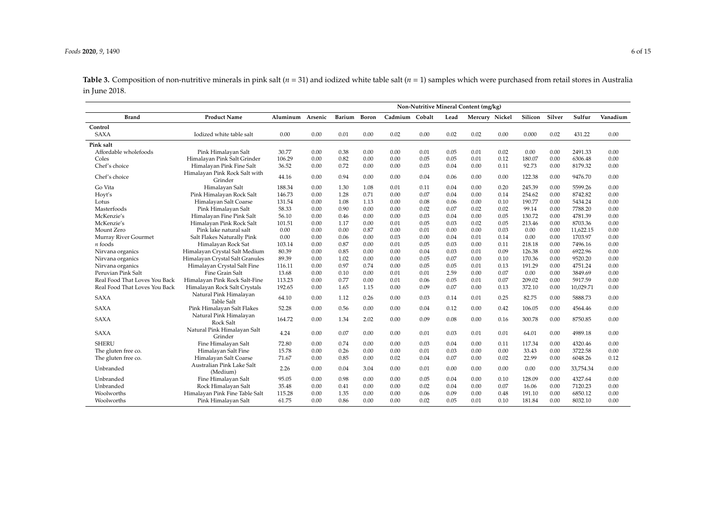**Table 3.** Composition of non-nutritive minerals in pink salt ( $n = 31$ ) and iodized white table salt ( $n = 1$ ) samples which were purchased from retail stores in Australia in June 2018.

<span id="page-5-0"></span>

|                               |                                             | Non-Nutritive Mineral Content (mg/kg) |         |        |              |         |        |      |                |      |         |        |           |          |
|-------------------------------|---------------------------------------------|---------------------------------------|---------|--------|--------------|---------|--------|------|----------------|------|---------|--------|-----------|----------|
| <b>Brand</b>                  | <b>Product Name</b>                         | Aluminum                              | Arsenic | Barium | <b>Boron</b> | Cadmium | Cobalt | Lead | Mercury Nickel |      | Silicon | Silver | Sulfur    | Vanadium |
| Control                       |                                             |                                       |         |        |              |         |        |      |                |      |         |        |           |          |
| <b>SAXA</b>                   | Iodized white table salt                    | 0.00                                  | 0.00    | 0.01   | 0.00         | 0.02    | 0.00   | 0.02 | 0.02           | 0.00 | 0.000   | 0.02   | 431.22    | 0.00     |
| Pink salt                     |                                             |                                       |         |        |              |         |        |      |                |      |         |        |           |          |
| Affordable wholefoods         | Pink Himalayan Salt                         | 30.77                                 | 0.00    | 0.38   | 0.00         | 0.00    | 0.01   | 0.05 | 0.01           | 0.02 | 0.00    | 0.00   | 2491.33   | 0.00     |
| Coles                         | Himalayan Pink Salt Grinder                 | 106.29                                | 0.00    | 0.82   | 0.00         | 0.00    | 0.05   | 0.05 | 0.01           | 0.12 | 180.07  | 0.00   | 6306.48   | 0.00     |
| Chef's choice                 | Himalayan Pink Fine Salt                    | 36.52                                 | 0.00    | 0.72   | 0.00         | 0.00    | 0.03   | 0.04 | 0.00           | 0.11 | 92.73   | 0.00   | 8179.32   | 0.00     |
| Chef's choice                 | Himalayan Pink Rock Salt with<br>Grinder    | 44.16                                 | 0.00    | 0.94   | 0.00         | 0.00    | 0.04   | 0.06 | 0.00           | 0.00 | 122.38  | 0.00   | 9476.70   | 0.00     |
| Go Vita                       | Himalayan Salt                              | 188.34                                | 0.00    | 1.30   | 1.08         | 0.01    | 0.11   | 0.04 | 0.00           | 0.20 | 245.39  | 0.00   | 5599.26   | 0.00     |
| Hoyt's                        | Pink Himalayan Rock Salt                    | 146.73                                | 0.00    | 1.28   | 0.71         | 0.00    | 0.07   | 0.04 | 0.00           | 0.14 | 254.62  | 0.00   | 8742.82   | 0.00     |
| Lotus                         | Himalayan Salt Coarse                       | 131.54                                | 0.00    | 1.08   | 1.13         | 0.00    | 0.08   | 0.06 | 0.00           | 0.10 | 190.77  | 0.00   | 5434.24   | 0.00     |
| Masterfoods                   | Pink Himalayan Salt                         | 58.33                                 | 0.00    | 0.90   | 0.00         | 0.00    | 0.02   | 0.07 | 0.02           | 0.02 | 99.14   | 0.00   | 7788.20   | 0.00     |
| McKenzie's                    | Himalayan Fine Pink Salt                    | 56.10                                 | 0.00    | 0.46   | 0.00         | 0.00    | 0.03   | 0.04 | 0.00           | 0.05 | 130.72  | 0.00   | 4781.39   | 0.00     |
| McKenzie's                    | Himalayan Pink Rock Salt                    | 101.51                                | 0.00    | 1.17   | 0.00         | 0.01    | 0.05   | 0.03 | 0.02           | 0.05 | 213.46  | 0.00   | 8703.36   | 0.00     |
| Mount Zero                    | Pink lake natural salt                      | 0.00                                  | 0.00    | 0.00   | 0.87         | 0.00    | 0.01   | 0.00 | 0.00           | 0.03 | 0.00    | 0.00   | 11,622.15 | 0.00     |
| Murray River Gourmet          | Salt Flakes Naturally Pink                  | 0.00                                  | 0.00    | 0.06   | 0.00         | 0.03    | 0.00   | 0.04 | 0.01           | 0.14 | 0.00    | 0.00   | 1703.97   | 0.00     |
| $n$ foods                     | Himalayan Rock Sat                          | 103.14                                | 0.00    | 0.87   | 0.00         | 0.01    | 0.05   | 0.03 | 0.00           | 0.11 | 218.18  | 0.00   | 7496.16   | 0.00     |
| Nirvana organics              | Himalayan Crystal Salt Medium               | 80.39                                 | 0.00    | 0.85   | 0.00         | 0.00    | 0.04   | 0.03 | 0.01           | 0.09 | 126.38  | 0.00   | 6922.96   | 0.00     |
| Nirvana organics              | Himalayan Crystal Salt Granules             | 89.39                                 | 0.00    | 1.02   | 0.00         | 0.00    | 0.05   | 0.07 | 0.00           | 0.10 | 170.36  | 0.00   | 9520.20   | 0.00     |
| Nirvana organics              | Himalayan Crystal Salt Fine                 | 116.11                                | 0.00    | 0.97   | 0.74         | 0.00    | 0.05   | 0.05 | 0.01           | 0.13 | 191.29  | 0.00   | 4751.24   | 0.00     |
| Peruvian Pink Salt            | Fine Grain Salt                             | 13.68                                 | 0.00    | 0.10   | 0.00         | 0.01    | 0.01   | 2.59 | 0.00           | 0.07 | 0.00    | 0.00   | 3849.69   | 0.00     |
| Real Food That Loves You Back | Himalayan Pink Rock Salt-Fine               | 113.23                                | 0.00    | 0.77   | 0.00         | 0.01    | 0.06   | 0.05 | 0.01           | 0.07 | 209.02  | 0.00   | 5917.59   | 0.00     |
| Real Food That Loves You Back | Himalayan Rock Salt Crystals                | 192.65                                | 0.00    | 1.65   | 1.15         | 0.00    | 0.09   | 0.07 | 0.00           | 0.13 | 372.10  | 0.00   | 10,029.71 | 0.00     |
| <b>SAXA</b>                   | Natural Pink Himalayan<br><b>Table Salt</b> | 64.10                                 | 0.00    | 1.12   | 0.26         | 0.00    | 0.03   | 0.14 | 0.01           | 0.25 | 82.75   | 0.00   | 5888.73   | 0.00     |
| <b>SAXA</b>                   | Pink Himalayan Salt Flakes                  | 52.28                                 | 0.00    | 0.56   | 0.00         | 0.00    | 0.04   | 0.12 | 0.00           | 0.42 | 106.05  | 0.00   | 4564.46   | 0.00     |
| <b>SAXA</b>                   | Natural Pink Himalayan<br>Rock Salt         | 164.72                                | 0.00    | 1.34   | 2.02         | 0.00    | 0.09   | 0.08 | 0.00           | 0.16 | 300.78  | 0.00   | 8750.85   | 0.00     |
| <b>SAXA</b>                   | Natural Pink Himalayan Salt<br>Grinder      | 4.24                                  | 0.00    | 0.07   | 0.00         | 0.00    | 0.01   | 0.03 | 0.01           | 0.01 | 64.01   | 0.00   | 4989.18   | 0.00     |
| <b>SHERU</b>                  | Fine Himalayan Salt                         | 72.80                                 | 0.00    | 0.74   | 0.00         | 0.00    | 0.03   | 0.04 | 0.00           | 0.11 | 117.34  | 0.00   | 4320.46   | 0.00     |
| The gluten free co.           | Himalayan Salt Fine                         | 15.78                                 | 0.00    | 0.26   | 0.00         | 0.00    | 0.01   | 0.03 | 0.00           | 0.00 | 33.43   | 0.00   | 3722.58   | 0.00     |
| The gluten free co.           | Himalayan Salt Coarse                       | 71.67                                 | 0.00    | 0.85   | 0.00         | 0.02    | 0.04   | 0.07 | 0.00           | 0.02 | 22.99   | 0.00   | 6048.26   | 0.12     |
| Unbranded                     | Australian Pink Lake Salt<br>(Medium)       | 2.26                                  | 0.00    | 0.04   | 3.04         | 0.00    | 0.01   | 0.00 | 0.00           | 0.00 | 0.00    | 0.00   | 33,754.34 | 0.00     |
| Unbranded                     | Fine Himalayan Salt                         | 95.05                                 | 0.00    | 0.98   | 0.00         | 0.00    | 0.05   | 0.04 | 0.00           | 0.10 | 128.09  | 0.00   | 4327.64   | 0.00     |
| Unbranded                     | Rock Himalayan Salt                         | 35.48                                 | 0.00    | 0.41   | 0.00         | 0.00    | 0.02   | 0.04 | 0.00           | 0.07 | 16.06   | 0.00   | 7120.23   | 0.00     |
| Woolworths                    | Himalayan Pink Fine Table Salt              | 115.28                                | 0.00    | 1.35   | 0.00         | 0.00    | 0.06   | 0.09 | 0.00           | 0.48 | 191.10  | 0.00   | 6850.12   | 0.00     |
| Woolworths                    | Pink Himalayan Salt                         | 61.75                                 | 0.00    | 0.86   | 0.00         | 0.00    | 0.02   | 0.05 | 0.01           | 0.10 | 181.84  | 0.00   | 8032.10   | 0.00     |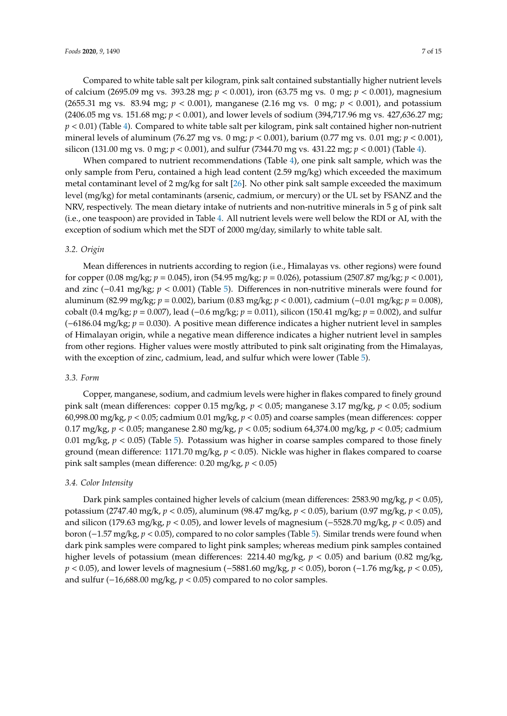Compared to white table salt per kilogram, pink salt contained substantially higher nutrient levels of calcium (2695.09 mg vs. 393.28 mg; *p* < 0.001), iron (63.75 mg vs. 0 mg; *p* < 0.001), magnesium (2655.31 mg vs. 83.94 mg; *p* < 0.001), manganese (2.16 mg vs. 0 mg; *p* < 0.001), and potassium (2406.05 mg vs. 151.68 mg; *p* < 0.001), and lower levels of sodium (394,717.96 mg vs. 427,636.27 mg; *p* < 0.01) (Table [4\)](#page-7-0). Compared to white table salt per kilogram, pink salt contained higher non-nutrient mineral levels of aluminum (76.27 mg vs. 0 mg; *p* < 0.001), barium (0.77 mg vs. 0.01 mg; *p* < 0.001), silicon (131.00 mg vs. 0 mg; *p* < 0.001), and sulfur (7344.70 mg vs. 431.22 mg; *p* < 0.001) (Table [4\)](#page-7-0).

When compared to nutrient recommendations (Table [4\)](#page-7-0), one pink salt sample, which was the only sample from Peru, contained a high lead content (2.59 mg/kg) which exceeded the maximum metal contaminant level of 2 mg/kg for salt [\[26\]](#page-13-7). No other pink salt sample exceeded the maximum level (mg/kg) for metal contaminants (arsenic, cadmium, or mercury) or the UL set by FSANZ and the NRV, respectively. The mean dietary intake of nutrients and non-nutritive minerals in 5 g of pink salt (i.e., one teaspoon) are provided in Table [4.](#page-7-0) All nutrient levels were well below the RDI or AI, with the exception of sodium which met the SDT of 2000 mg/day, similarly to white table salt.

#### *3.2. Origin*

Mean differences in nutrients according to region (i.e., Himalayas vs. other regions) were found for copper (0.08 mg/kg; *p* = 0.045), iron (54.95 mg/kg; *p* = 0.026), potassium (2507.87 mg/kg; *p* < 0.001), and zinc (−0.41 mg/kg; *p* < 0.001) (Table [5\)](#page-9-0). Differences in non-nutritive minerals were found for aluminum (82.99 mg/kg; *p* = 0.002), barium (0.83 mg/kg; *p* < 0.001), cadmium (−0.01 mg/kg; *p* = 0.008), cobalt (0.4 mg/kg; *p* = 0.007), lead (−0.6 mg/kg; *p* = 0.011), silicon (150.41 mg/kg; *p* = 0.002), and sulfur (−6186.04 mg/kg; *p* = 0.030). A positive mean difference indicates a higher nutrient level in samples of Himalayan origin, while a negative mean difference indicates a higher nutrient level in samples from other regions. Higher values were mostly attributed to pink salt originating from the Himalayas, with the exception of zinc, cadmium, lead, and sulfur which were lower (Table [5\)](#page-9-0).

#### *3.3. Form*

Copper, manganese, sodium, and cadmium levels were higher in flakes compared to finely ground pink salt (mean differences: copper 0.15 mg/kg, *p* < 0.05; manganese 3.17 mg/kg, *p* < 0.05; sodium 60,998.00 mg/kg, *p* < 0.05; cadmium 0.01 mg/kg, *p* < 0.05) and coarse samples (mean differences: copper 0.17 mg/kg, *p* < 0.05; manganese 2.80 mg/kg, *p* < 0.05; sodium 64,374.00 mg/kg, *p* < 0.05; cadmium 0.01 mg/kg,  $p < 0.05$ ) (Table [5\)](#page-9-0). Potassium was higher in coarse samples compared to those finely ground (mean difference: 1171.70 mg/kg, *p* < 0.05). Nickle was higher in flakes compared to coarse pink salt samples (mean difference: 0.20 mg/kg, *p* < 0.05)

## *3.4. Color Intensity*

Dark pink samples contained higher levels of calcium (mean differences: 2583.90 mg/kg, *p* < 0.05), potassium (2747.40 mg/k, *p* < 0.05), aluminum (98.47 mg/kg, *p* < 0.05), barium (0.97 mg/kg, *p* < 0.05), and silicon (179.63 mg/kg, *p* < 0.05), and lower levels of magnesium (−5528.70 mg/kg, *p* < 0.05) and boron (−1.57 mg/kg, *p* < 0.05), compared to no color samples (Table [5\)](#page-9-0). Similar trends were found when dark pink samples were compared to light pink samples; whereas medium pink samples contained higher levels of potassium (mean differences: 2214.40 mg/kg,  $p < 0.05$ ) and barium (0.82 mg/kg, *p* < 0.05), and lower levels of magnesium (−5881.60 mg/kg, *p* < 0.05), boron (−1.76 mg/kg, *p* < 0.05), and sulfur (−16,688.00 mg/kg, *p* < 0.05) compared to no color samples.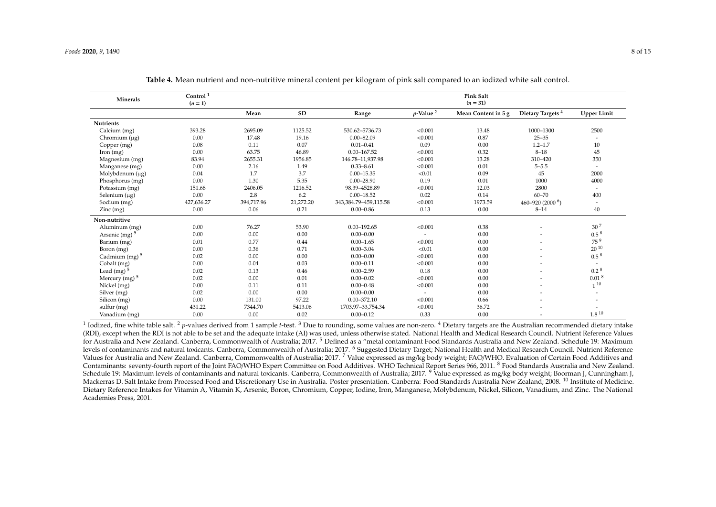| Minerals                  | Control <sup>1</sup><br>$(n=1)$ |            |           |                             |                          | Pink Salt<br>$(n = 31)$ |                              |                          |
|---------------------------|---------------------------------|------------|-----------|-----------------------------|--------------------------|-------------------------|------------------------------|--------------------------|
|                           |                                 | Mean       | SD        | Range                       | $p$ -Value <sup>2</sup>  | Mean Content in 5 g     | Dietary Targets <sup>4</sup> | <b>Upper Limit</b>       |
| <b>Nutrients</b>          |                                 |            |           |                             |                          |                         |                              |                          |
| Calcium (mg)              | 393.28                          | 2695.09    | 1125.52   | 530.62-5736.73              | < 0.001                  | 13.48                   | 1000-1300                    | 2500                     |
| Chromium $(\mu g)$        | 0.00                            | 17.48      | 19.16     | $0.00 - 82.09$              | < 0.001                  | 0.87                    | $25 - 35$                    |                          |
| Copper (mg)               | 0.08                            | 0.11       | 0.07      | $0.01 - 0.41$               | 0.09                     | 0.00                    | $1.2 - 1.7$                  | 10                       |
| Iron $(mg)$               | 0.00                            | 63.75      | 46.89     | $0.00 - 167.52$             | < 0.001                  | 0.32                    | $8 - 18$                     | 45                       |
| Magnesium (mg)            | 83.94                           | 2655.31    | 1956.85   | 146.78-11,937.98            | < 0.001                  | 13.28                   | 310-420                      | 350                      |
| Manganese (mg)            | 0.00                            | 2.16       | 1.49      | $0.33 - 8.61$               | < 0.001                  | 0.01                    | $5 - 5.5$                    | $\overline{\phantom{a}}$ |
| Molybdenum (μg)           | 0.04                            | 1.7        | 3.7       | $0.00 - 15.35$              | < 0.01                   | 0.09                    | 45                           | 2000                     |
| Phosphorus (mg)           | 0.00                            | 1.30       | 5.35      | $0.00 - 28.90$              | 0.19                     | 0.01                    | 1000                         | 4000                     |
| Potassium (mg)            | 151.68                          | 2406.05    | 1216.52   | 98.39-4528.89               | < 0.001                  | 12.03                   | 2800                         | $\overline{\phantom{a}}$ |
| Selenium $(\mu g)$        | 0.00                            | 2.8        | 6.2       | $0.00 - 18.52$              | 0.02                     | 0.14                    | $60 - 70$                    | 400                      |
| Sodium (mg)               | 427,636.27                      | 394,717.96 | 21,272.20 | 343, 384. 79 - 459, 115. 58 | < 0.001                  | 1973.59                 | 460-920 (2000 <sup>6</sup> ) |                          |
| Zinc(mg)                  | 0.00                            | 0.06       | 0.21      | $0.00 - 0.86$               | 0.13                     | 0.00                    | $8 - 14$                     | 40                       |
| Non-nutritive             |                                 |            |           |                             |                          |                         |                              |                          |
| Aluminum (mg)             | 0.00                            | 76.27      | 53.90     | $0.00 - 192.65$             | < 0.001                  | 0.38                    | ۰                            | 30 <sup>7</sup>          |
| Arsenic (mg) $5$          | 0.00                            | 0.00       | 0.00      | $0.00 - 0.00$               |                          | 0.00                    |                              | 0.5 <sup>8</sup>         |
| Barium (mg)               | 0.01                            | 0.77       | 0.44      | $0.00 - 1.65$               | < 0.001                  | 0.00                    | ۰                            | 75 <sup>9</sup>          |
| Boron (mg)                | 0.00                            | 0.36       | 0.71      | $0.00 - 3.04$               | < 0.01                   | 0.00                    |                              | $20^{10}$                |
| Cadmium (mg) <sup>5</sup> | 0.02                            | 0.00       | 0.00      | $0.00 - 0.00$               | < 0.001                  | 0.00                    |                              | 0.5 <sup>8</sup>         |
| Cobalt (mg)               | 0.00                            | 0.04       | 0.03      | $0.00 - 0.11$               | < 0.001                  | 0.00                    |                              |                          |
| Lead (mg) $5$             | 0.02                            | 0.13       | 0.46      | $0.00 - 2.59$               | 0.18                     | 0.00                    |                              | $0.2^{8}$                |
| Mercury (mg) $5$          | 0.02                            | 0.00       | 0.01      | $0.00 - 0.02$               | < 0.001                  | 0.00                    | ۰                            | 0.01 <sup>8</sup>        |
| Nickel (mg)               | 0.00                            | 0.11       | 0.11      | $0.00 - 0.48$               | < 0.001                  | 0.00                    | ۰                            | $1^{10}$                 |
| Silver (mg)               | 0.02                            | 0.00       | 0.00      | $0.00 - 0.00$               | $\overline{\phantom{a}}$ | 0.00                    |                              |                          |
| Silicon (mg)              | 0.00                            | 131.00     | 97.22     | $0.00 - 372.10$             | < 0.001                  | 0.66                    |                              |                          |
| sulfur (mg)               | 431.22                          | 7344.70    | 5413.06   | 1703.97-33,754.34           | < 0.001                  | 36.72                   |                              |                          |
| Vanadium (mg)             | 0.00                            | 0.00       | 0.02      | $0.00 - 0.12$               | 0.33                     | 0.00                    |                              | $1.8\text{ }^{10}$       |

**Table 4.** Mean nutrient and non-nutritive mineral content per kilogram of pink salt compared to an iodized white salt control.

<span id="page-7-0"></span><sup>1</sup> Iodized, fine white table salt. <sup>2</sup> p-values derived from 1 sample *t*-test. <sup>3</sup> Due to rounding, some values are non-zero. <sup>4</sup> Dietary targets are the Australian recommended dietary intake (RDI), except when the RDI is not able to be set and the adequate intake (AI) was used, unless otherwise stated. National Health and Medical Research Council. Nutrient Reference Values for Australia and New Zealand. Canberra, Commonwealth of Australia; 2017. <sup>5</sup> Defined as a "metal contaminant Food Standards Australia and New Zealand. Schedule 19: Maximum levels of contaminants and natural toxicants. Canberra, Commonwealth of Australia; 2017. <sup>6</sup> Suggested Dietary Target; National Health and Medical Research Council. Nutrient Reference Values for Australia and New Zealand. Canberra, Commonwealth of Australia; 2017. <sup>7</sup> Value expressed as mg/kg body weight; FAO/WHO. Evaluation of Certain Food Additives and Contaminants: seventy-fourth report of the Joint FAO/WHO Expert Committee on Food Additives. WHO Technical Report Series 966, 2011. <sup>8</sup> Food Standards Australia and New Zealand. Schedule 19: Maximum levels of contaminants and natural toxicants. Canberra, Commonwealth of Australia; 2017. <sup>9</sup> Value expressed as mg/kg body weight; Boorman J, Cunningham J, Mackerras D. Salt Intake from Processed Food and Discretionary Use in Australia. Poster presentation. Canberra: Food Standards Australia New Zealand; 2008. <sup>10</sup> Institute of Medicine. Dietary Reference Intakes for Vitamin A, Vitamin K, Arsenic, Boron, Chromium, Copper, Iodine, Iron, Manganese, Molybdenum, Nickel, Silicon, Vanadium, and Zinc. The National Academies Press, 2001.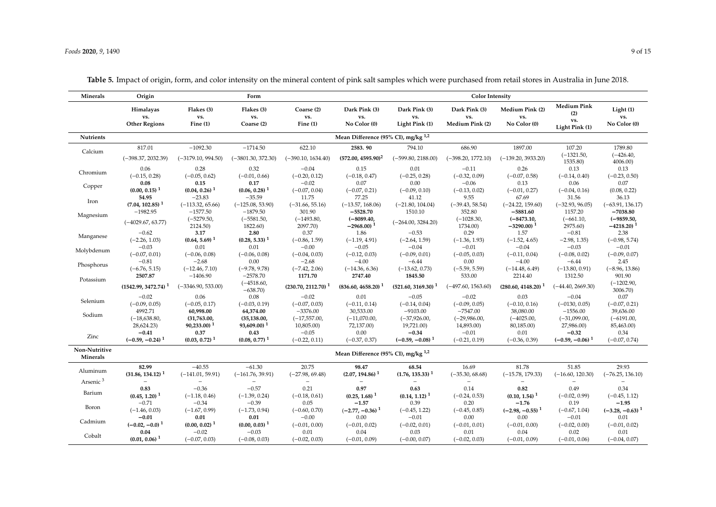| Minerals                         | Origin<br>Form                                            |                                               |                                               |                                                  |                                                                 | <b>Color Intensity</b>                           |                                                 |                                                       |                                                    |                                                          |  |
|----------------------------------|-----------------------------------------------------------|-----------------------------------------------|-----------------------------------------------|--------------------------------------------------|-----------------------------------------------------------------|--------------------------------------------------|-------------------------------------------------|-------------------------------------------------------|----------------------------------------------------|----------------------------------------------------------|--|
|                                  | Himalayas<br>vs.<br><b>Other Regions</b>                  | Flakes (3)<br>vs.<br>Fine $(1)$               | Flakes (3)<br>vs.<br>Coarse (2)               | Coarse (2)<br>vs.<br>Fine $(1)$                  | Dark Pink (3)<br>vs.<br>No Color (0)                            | Dark Pink (3)<br>vs.<br>Light Pink (1)           | Dark Pink (3)<br>vs.<br>Medium Pink (2)         | Medium Pink (2)<br>vs.<br>No Color (0)                | <b>Medium Pink</b><br>(2)<br>vs.<br>Light Pink (1) | Light(1)<br>vs.<br>No Color (0)                          |  |
| <b>Nutrients</b>                 |                                                           |                                               |                                               |                                                  | Mean Difference (95% CI), mg/kg <sup>1,2</sup>                  |                                                  |                                                 |                                                       |                                                    |                                                          |  |
|                                  | 817.01                                                    | $-1092.30$                                    | $-1714.50$                                    | 622.10                                           | 2583.90                                                         | 794.10                                           | 686.90                                          | 1897.00                                               | 107.20                                             | 1789.80                                                  |  |
| Calcium                          | $(-398.37, 2032.39)$                                      | $(-3179.10, 994.50)$                          | $(-3801.30, 372.30)$                          | $(-390.10, 1634.40)$                             | $(572.00, 4595.90)^2$                                           | $(-599.80, 2188.00)$                             | $(-398.20, 1772.10)$                            | $(-139.20, 3933.20)$                                  | $(-1321.50,$<br>1535.80)                           | $(-426.40,$<br>4006.00)                                  |  |
| Chromium                         | 0.06<br>$(-0.15, 0.28)$                                   | 0.28<br>$(-0.05, 0.62)$                       | 0.32<br>$(-0.01, 0.66)$                       | $-0.04$<br>$(-0.20, 0.12)$                       | 0.15<br>$(-0.18, 0.47)$                                         | 0.01<br>$(-0.25, 0.28)$                          | $-0.11$<br>$(-0.32, 0.09)$                      | 0.26<br>$(-0.07, 0.58)$                               | 0.13<br>$(-0.14, 0.40)$                            | 0.13<br>$(-0.23, 0.50)$                                  |  |
| Copper                           | 0.08<br>$(0.00, 0.15)$ <sup>1</sup>                       | 0.15<br>$(0.04, 0.26)$ <sup>1</sup>           | 0.17<br>$(0.06, 0.28)$ <sup>1</sup>           | $-0.02$<br>$(-0.07, 0.04)$                       | 0.07<br>$(-0.07, 0.21)$                                         | 0.00<br>$(-0.09, 0.10)$                          | $-0.06$<br>$(-0.13, 0.02)$                      | 0.13<br>$(-0.01, 0.27)$                               | 0.06<br>$(-0.04, 0.16)$                            | 0.07<br>(0.08, 0.22)                                     |  |
| Iron                             | 54.95<br>$(7.04, 102.85)$ <sup>1</sup>                    | $-23.83$<br>$(-113.32, 65.66)$                | $-35.59$<br>$(-125.08, 53.90)$                | 11.75<br>$(-31.66, 55.16)$                       | 77.25<br>$(-13.57, 168.06)$                                     | 41.12<br>$(-21.80, 104.04)$                      | 9.55<br>$(-39.43, 58.54)$                       | 67.69<br>$(-24.22, 159.60)$                           | 31.56<br>$(-32.93, 96.05)$                         | 36.13<br>$(-63.91, 136.17)$                              |  |
| Magnesium                        | $-1982.95$<br>$(-4029.67, 63.77)$                         | $-1577.50$<br>$(-5279.50,$<br>2124.50)        | $-1879.50$<br>$(-5581.50,$<br>1822.60)        | 301.90<br>$(-1493.80,$<br>2097.70)               | $-5528.70$<br>$(-8089.40,$<br>$-2968.00$ <sup>1</sup>           | 1510.10<br>$(-264.00, 3284.20)$                  | 352.80<br>$(-1028.30,$<br>1734.00)              | $-5881.60$<br>$(-8473.10,$<br>$-3290.00$ <sup>1</sup> | 1157.20<br>$(-661.10,$<br>2975.60)                 | $-7038.80$<br>$(-9859.50,$<br>$-4218.20$ ) <sup>1</sup>  |  |
| Manganese                        | $-0.62$<br>$(-2.26, 1.03)$                                | 3.17<br>$(0.64, 5.69)$ <sup>1</sup>           | 2.80<br>$(0.28, 5.33)$ <sup>1</sup>           | 0.37<br>$(-0.86, 1.59)$                          | 1.86<br>$(-1.19, 4.91)$                                         | $-0.53$<br>$(-2.64, 1.59)$                       | 0.29<br>$(-1.36, 1.93)$                         | 1.57<br>$(-1.52, 4.65)$                               | $-0.81$<br>$-2.98, 1.35$                           | 2.38<br>$(-0.98, 5.74)$                                  |  |
| Molybdenum                       | $-0.03$<br>$(-0.07, 0.01)$                                | 0.01<br>$(-0.06, 0.08)$                       | 0.01<br>$(-0.06, 0.08)$                       | $-0.00$<br>$(-0.04, 0.03)$                       | $-0.05$<br>$(-0.12, 0.03)$                                      | $-0.04$<br>$(-0.09, 0.01)$                       | $-0.01$<br>$(-0.05, 0.03)$                      | $-0.04$<br>$(-0.11, 0.04)$                            | $-0.03$<br>$(-0.08, 0.02)$                         | $-0.01$<br>$(-0.09, 0.07)$                               |  |
| Phosphorus                       | $-0.81$<br>$(-6.76, 5.15)$                                | $-2.68$<br>$(-12.46, 7.10)$                   | 0.00<br>$(-9.78, 9.78)$                       | $-2.68$<br>$(-7.42, 2.06)$                       | $-4.00$<br>$(-14.36, 6.36)$                                     | $-6.44$<br>$(-13.62, 0.73)$                      | 0.00<br>$(-5.59, 5.59)$                         | $-4.00$<br>$(-14.48, 6.49)$                           | $-6.44$<br>$(-13.80, 0.91)$                        | 2.45<br>$(-8.96, 13.86)$                                 |  |
| Potassium                        | 2507.87<br>$(1542.99, 3472.74)$ <sup>1</sup>              | $-1406.90$<br>$(-3346.90, 533.00)$            | $-2578.70$<br>$(-4518.60,$                    | 1171.70<br>$(230.70, 2112.70)$ <sup>1</sup>      | 2747.40<br>$(836.60, 4658.20)$ <sup>1</sup>                     | 1845.50<br>$(521.60, 3169.30)$ <sup>1</sup>      | 533.00<br>$(-497.60, 1563.60)$                  | 2214.40<br>$(280.60, 4148.20)$ <sup>1</sup>           | 1312.50<br>$(-44.40, 2669.30)$                     | 901.90<br>$(-1202.90,$                                   |  |
| Selenium                         | $-0.02$                                                   | 0.06                                          | $-638.70$<br>0.08                             | $-0.02$                                          | 0.01                                                            | $-0.05$                                          | $-0.02$                                         | 0.03                                                  | $-0.04$                                            | 3006.70)<br>0.07                                         |  |
| Sodium                           | $(-0.09, 0.05)$<br>4992.71<br>$(-18,638.80,$              | $(-0.05, 0.17)$<br>60,998.00<br>(31,763.00,   | $(-0.03, 0.19)$<br>64,374.00<br>(35, 138.00,  | $(-0.07, 0.03)$<br>$-3376.00$<br>$(-17, 557.00,$ | $(-0.11, 0.14)$<br>30,533.00<br>$(-11,070.00,$                  | $(-0.14, 0.04)$<br>$-9103.00$<br>$(-37, 926.00,$ | $(-0.09, 0.05)$<br>$-7547.00$<br>$(-29,986.00,$ | $(-0.10, 0.16)$<br>38,080.00<br>$(-4025.00,$          | $(-0130, 0.05)$<br>$-1556.00$<br>$(-31,099.00,$    | $(-0.07, 0.21)$<br>39,636.00<br>$(-6191.00,$             |  |
| Zinc                             | 28,624.23)<br>$-0.41$                                     | $90,233.00$ <sup>1</sup><br>0.37              | 93,609.00) <sup>1</sup><br>0.43               | 10,805.00)<br>$-0.05$                            | 72,137.00)<br>0.00                                              | 19,721.00)<br>$-0.34$                            | 14,893.00)<br>$-0.01$                           | 80,185.00)<br>0.01                                    | 27,986.00)<br>$-0.32$                              | 85,463.00)<br>0.34                                       |  |
|                                  | $(-0.59, -0.24)$ <sup>1</sup>                             | $(0.03, 0.72)$ <sup>1</sup>                   | $(0.08, 0.77)$ <sup>1</sup>                   | $(-0.22, 0.11)$                                  | $(-0.37, 0.37)$                                                 | $(-0.59, -0.08)^{1}$                             | $(-0.21, 0.19)$                                 | $(-0.36, 0.39)$                                       | $(-0.59, -0.06)$ <sup>1</sup>                      | $(-0.07, 0.74)$                                          |  |
| Non-Nutritive<br>Minerals        |                                                           |                                               |                                               |                                                  | Mean Difference (95% CI), mg/kg $^{1,2}$                        |                                                  |                                                 |                                                       |                                                    |                                                          |  |
| Aluminum<br>Arsenic <sup>3</sup> | 82.99<br>$(31.86, 134.12)$ <sup>1</sup>                   | $-40.55$<br>$(-141.01, 59.91)$                | $-61.30$<br>$(-161.76, 39.91)$                | 20.75<br>$(-27.98, 69.48)$                       | 98.47<br>$(2.07, 194.86)$ <sup>1</sup>                          | 68.54<br>$(1.76, 135.33)^{1}$                    | 16.69<br>$(-35.30, 68.68)$                      | 81.78<br>$(-15.78, 179.33)$                           | 51.85<br>$(-16.60, 120.30)$                        | 29.93<br>$(-76.25, 136.10)$                              |  |
| Barium                           | 0.83                                                      | $-0.36$                                       | $-0.57$                                       | 0.21                                             | 0.97                                                            | 0.63                                             | 0.14                                            | 0.82                                                  | 0.49                                               | 0.34                                                     |  |
| Boron                            | $(0.45, 1.20)$ <sup>1</sup><br>$-0.71$<br>$(-1.46, 0.03)$ | $(-1.18, 0.46)$<br>$-0.34$<br>$(-1.67, 0.99)$ | $(-1.39, 0.24)$<br>$-0.39$<br>$(-1.73, 0.94)$ | $(-0.18, 0.61)$<br>0.05                          | $(0.25, 1.68)$ <sup>1</sup><br>$-1.57$<br>$(-2.77, -0.36)^{-1}$ | $(0.14, 1.12)$ <sup>1</sup><br>0.39              | $(-0.24, 0.53)$<br>0.20                         | $(0.10, 1.54)$ <sup>1</sup><br>$-1.76$                | $(-0.02, 0.99)$<br>0.19                            | $(-0.45, 1.12)$<br>$-1.95$                               |  |
| Cadmium                          | $-0.01$<br>$(-0.02, -0.0)^1$                              | 0.01<br>$(0.00, 0.02)$ <sup>1</sup>           | 0.01<br>$(0.00, 0.03)$ <sup>1</sup>           | $(-0.60, 0.70)$<br>$-0.00$<br>$(-0.01, 0.00)$    | 0.00<br>$(-0.01, 0.02)$                                         | $(-0.45, 1.22)$<br>$-0.01$<br>$(-0.02, 0.01)$    | $(-0.45, 0.85)$<br>0.00<br>$(-0.01, 0.01)$      | $(-2.98, -0.55)^{-1}$<br>0.00                         | $(-0.67, 1.04)$<br>$-0.01$                         | $(-3.28, -0.63)$ <sup>1</sup><br>0.01<br>$(-0.01, 0.02)$ |  |
| Cobalt                           | 0.04<br>$(0.01, 0.06)$ <sup>1</sup>                       | $-0.02$<br>$(-0.07, 0.03)$                    | $-0.03$<br>$(-0.08, 0.03)$                    | 0.01<br>$(-0.02, 0.03)$                          | 0.04<br>$(-0.01, 0.09)$                                         | 0.03<br>$(-0.00, 0.07)$                          | 0.01<br>$(-0.02, 0.03)$                         | $(-0.01, 0.00)$<br>0.04<br>$(-0.01, 0.09)$            | $(-0.02, 0.00)$<br>0.02<br>$(-0.01, 0.06)$         | 0.01<br>$(-0.04, 0.07)$                                  |  |

**Table 5.** Impact of origin, form, and color intensity on the mineral content of pink salt samples which were purchased from retail stores in Australia in June 2018.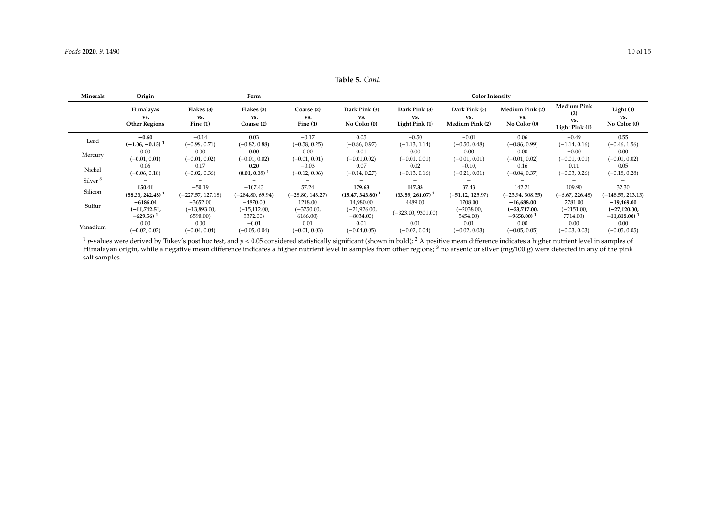**Table 5.** *Cont.*

| Minerals            | Origin                                   |                                 | Form                            |                                 |                                      | <b>Color Intensity</b>                 |                                         |                                        |                                                    |                                 |  |  |
|---------------------|------------------------------------------|---------------------------------|---------------------------------|---------------------------------|--------------------------------------|----------------------------------------|-----------------------------------------|----------------------------------------|----------------------------------------------------|---------------------------------|--|--|
|                     | Himalayas<br>VS.<br><b>Other Regions</b> | Flakes (3)<br>VS.<br>Fine $(1)$ | Flakes (3)<br>VS.<br>Coarse (2) | Coarse (2)<br>VS.<br>Fine $(1)$ | Dark Pink (3)<br>VS.<br>No Color (0) | Dark Pink (3)<br>VS.<br>Light Pink (1) | Dark Pink (3)<br>VS.<br>Medium Pink (2) | Medium Pink (2)<br>VS.<br>No Color (0) | <b>Medium Pink</b><br>(2)<br>vs.<br>Light Pink (1) | Light(1)<br>VS.<br>No Color (0) |  |  |
|                     | $-0.60$                                  | $-0.14$                         | 0.03                            | $-0.17$                         | 0.05                                 | $-0.50$                                | $-0.01$                                 | 0.06                                   | $-0.49$                                            | 0.55                            |  |  |
| Lead                | $(-1.06, -0.15)^{-1}$                    | (–0.99, 0.71)                   | $(-0.82, 0.88)$                 | $(-0.58, 0.25)$                 | $(-0.86, 0.97)$                      | $(-1.13, 1.14)$                        | $(-0.50, 0.48)$                         | $(-0.86, 0.99)$                        | $(-1.14, 0.16)$                                    | $(-0.46, 1.56)$                 |  |  |
| Mercury             | 0.00                                     | 0.00                            | 0.00                            | 0.00                            | 0.01                                 | 0.00                                   | 0.00                                    | 0.00                                   | $-0.00$                                            | 0.00                            |  |  |
|                     | $(-0.01, 0.01)$                          | $(-0.01, 0.02)$                 | $(-0.01, 0.02)$                 | $(-0.01, 0.01)$                 | $(-0.01, 0.02)$                      | $(-0.01, 0.01)$                        | $(-0.01, 0.01)$                         | $(-0.01, 0.02)$                        | $(-0.01, 0.01)$                                    | $(-0.01, 0.02)$                 |  |  |
| Nickel              | 0.06                                     | 0.17                            | 0.20                            | $-0.03$                         | 0.07                                 | 0.02                                   | $-0.10,$                                | 0.16                                   | 0.11                                               | 0.05                            |  |  |
|                     | $(-0.06, 0.18)$                          | $(-0.02, 0.36)$                 | $(0.01, 0.39)$ <sup>1</sup>     | $(-0.12, 0.06)$                 | $(-0.14, 0.27)$                      | $(-0.13, 0.16)$                        | $(-0.21, 0.01)$                         | $(-0.04, 0.37)$                        | $(-0.03, 0.26)$                                    | $(-0.18, 0.28)$                 |  |  |
| Silver <sup>3</sup> |                                          |                                 |                                 |                                 |                                      |                                        |                                         |                                        |                                                    |                                 |  |  |
| Silicon             | 150.41                                   | $-50.19$                        | $-107.43$                       | 57.24                           | 179.63                               | 147.33                                 | 37.43                                   | 142.21                                 | 109.90                                             | 32.30                           |  |  |
|                     | $(58.33, 242.48)$ <sup>1</sup>           | $(-227.57, 127.18)$             | $(-284.80, 69.94)$              | (-28.80, 143.27)                | $(15.47, 343.80)$ <sup>1</sup>       | $(33.59, 261.07)$ <sup>1</sup>         | $(-51.12, 125.97)$                      | (-23.94, 308.35)                       | $(-6.67, 226.48)$                                  | $(-148.53, 213.13)$             |  |  |
| Sulfur              | $-6186.04$                               | $-3652.00$                      | $-4870.00$                      | 1218.00                         | 14,980.00                            | 4489.00                                | 1708.00                                 | $-16,688.00$                           | 2781.00                                            | $-19,469.00$                    |  |  |
|                     | (-11,742.51,                             | $(-13,893.00,$                  | (-15,112.00,                    | $(-3750.00,$                    | (–21,926.00,                         | $(-323.00, 9301.00)$                   | $-2038.00,$                             | $(-23,717.00,$                         | $(-2151.00,$                                       | $(-27, 120.00,$                 |  |  |
|                     | $-629.56$                                | 6590.00)                        | 5372.00)                        | 6186.00)                        | $-8034.00$                           |                                        | 5454.00)                                | $-9658.00$ <sup>1</sup>                | 7714.00)                                           | $-11,818.00$                    |  |  |
| Vanadium            | 0.00                                     | 0.00                            | $-0.01$                         | 0.01                            | 0.01                                 | 0.01                                   | 0.01                                    | 0.00                                   | 0.00                                               | 0.00                            |  |  |
|                     | $(-0.02, 0.02)$                          | $(-0.04, 0.04)$                 | $(-0.05, 0.04)$                 | $(-0.01, 0.03)$                 | $(-0.04, 0.05)$                      | $(-0.02, 0.04)$                        | $(-0.02, 0.03)$                         | $(-0.05, 0.05)$                        | $(-0.03, 0.03)$                                    | $(-0.05, 0.05)$                 |  |  |

<span id="page-9-0"></span><sup>1</sup> *p*-values were derived by Tukey's post hoc test, and  $p < 0.05$  considered statistically significant (shown in bold); <sup>2</sup> A positive mean difference indicates a higher nutrient level in samples of Himalayan origin, while a negative mean difference indicates a higher nutrient level in samples from other regions; <sup>3</sup> no arsenic or silver (mg/100 g) were detected in any of the pink salt samples.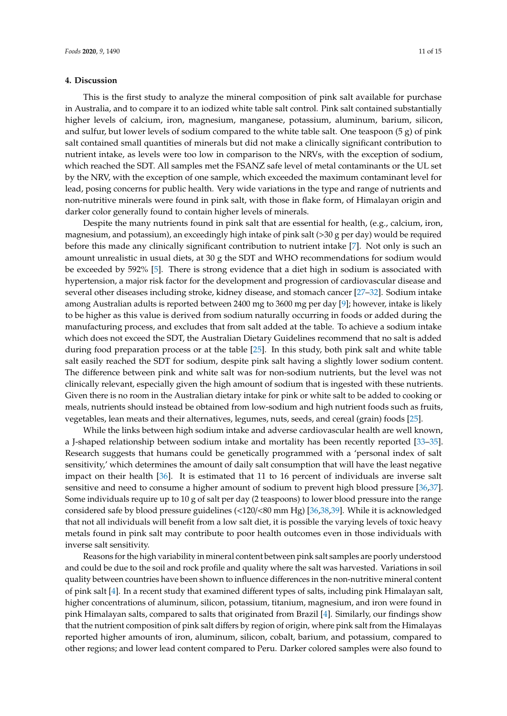#### **4. Discussion**

This is the first study to analyze the mineral composition of pink salt available for purchase in Australia, and to compare it to an iodized white table salt control. Pink salt contained substantially higher levels of calcium, iron, magnesium, manganese, potassium, aluminum, barium, silicon, and sulfur, but lower levels of sodium compared to the white table salt. One teaspoon (5 g) of pink salt contained small quantities of minerals but did not make a clinically significant contribution to nutrient intake, as levels were too low in comparison to the NRVs, with the exception of sodium, which reached the SDT. All samples met the FSANZ safe level of metal contaminants or the UL set by the NRV, with the exception of one sample, which exceeded the maximum contaminant level for lead, posing concerns for public health. Very wide variations in the type and range of nutrients and non-nutritive minerals were found in pink salt, with those in flake form, of Himalayan origin and darker color generally found to contain higher levels of minerals.

Despite the many nutrients found in pink salt that are essential for health, (e.g., calcium, iron, magnesium, and potassium), an exceedingly high intake of pink salt (>30 g per day) would be required before this made any clinically significant contribution to nutrient intake [\[7\]](#page-12-6). Not only is such an amount unrealistic in usual diets, at 30 g the SDT and WHO recommendations for sodium would be exceeded by 592% [\[5\]](#page-12-4). There is strong evidence that a diet high in sodium is associated with hypertension, a major risk factor for the development and progression of cardiovascular disease and several other diseases including stroke, kidney disease, and stomach cancer [\[27](#page-13-8)[–32\]](#page-13-9). Sodium intake among Australian adults is reported between 2400 mg to 3600 mg per day [\[9\]](#page-12-8); however, intake is likely to be higher as this value is derived from sodium naturally occurring in foods or added during the manufacturing process, and excludes that from salt added at the table. To achieve a sodium intake which does not exceed the SDT, the Australian Dietary Guidelines recommend that no salt is added during food preparation process or at the table [\[25\]](#page-13-6). In this study, both pink salt and white table salt easily reached the SDT for sodium, despite pink salt having a slightly lower sodium content. The difference between pink and white salt was for non-sodium nutrients, but the level was not clinically relevant, especially given the high amount of sodium that is ingested with these nutrients. Given there is no room in the Australian dietary intake for pink or white salt to be added to cooking or meals, nutrients should instead be obtained from low-sodium and high nutrient foods such as fruits, vegetables, lean meats and their alternatives, legumes, nuts, seeds, and cereal (grain) foods [\[25\]](#page-13-6).

While the links between high sodium intake and adverse cardiovascular health are well known, a J-shaped relationship between sodium intake and mortality has been recently reported [\[33–](#page-13-10)[35\]](#page-13-11). Research suggests that humans could be genetically programmed with a 'personal index of salt sensitivity,' which determines the amount of daily salt consumption that will have the least negative impact on their health [\[36\]](#page-13-12). It is estimated that 11 to 16 percent of individuals are inverse salt sensitive and need to consume a higher amount of sodium to prevent high blood pressure [\[36,](#page-13-12)[37\]](#page-13-13). Some individuals require up to 10 g of salt per day (2 teaspoons) to lower blood pressure into the range considered safe by blood pressure guidelines (<120/<80 mm Hg) [\[36](#page-13-12)[,38](#page-14-0)[,39\]](#page-14-1). While it is acknowledged that not all individuals will benefit from a low salt diet, it is possible the varying levels of toxic heavy metals found in pink salt may contribute to poor health outcomes even in those individuals with inverse salt sensitivity.

Reasons for the high variability in mineral content between pink salt samples are poorly understood and could be due to the soil and rock profile and quality where the salt was harvested. Variations in soil quality between countries have been shown to influence differences in the non-nutritive mineral content of pink salt [\[4\]](#page-12-3). In a recent study that examined different types of salts, including pink Himalayan salt, higher concentrations of aluminum, silicon, potassium, titanium, magnesium, and iron were found in pink Himalayan salts, compared to salts that originated from Brazil [\[4\]](#page-12-3). Similarly, our findings show that the nutrient composition of pink salt differs by region of origin, where pink salt from the Himalayas reported higher amounts of iron, aluminum, silicon, cobalt, barium, and potassium, compared to other regions; and lower lead content compared to Peru. Darker colored samples were also found to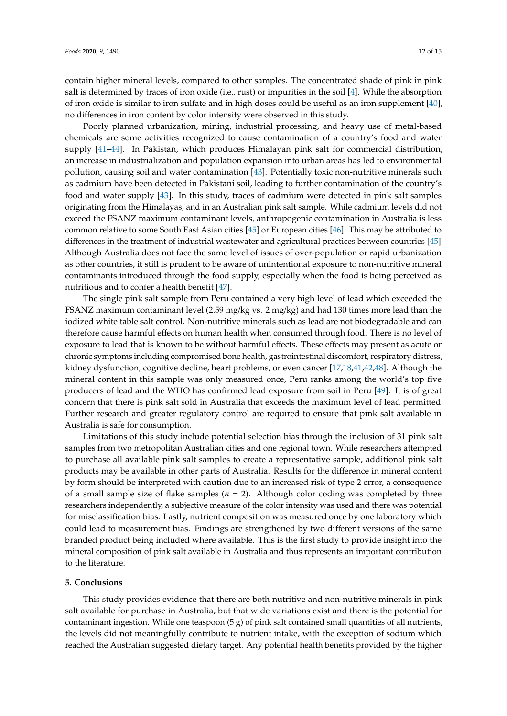contain higher mineral levels, compared to other samples. The concentrated shade of pink in pink salt is determined by traces of iron oxide (i.e., rust) or impurities in the soil [\[4\]](#page-12-3). While the absorption of iron oxide is similar to iron sulfate and in high doses could be useful as an iron supplement [\[40\]](#page-14-2), no differences in iron content by color intensity were observed in this study.

Poorly planned urbanization, mining, industrial processing, and heavy use of metal-based chemicals are some activities recognized to cause contamination of a country's food and water supply [\[41](#page-14-3)[–44\]](#page-14-4). In Pakistan, which produces Himalayan pink salt for commercial distribution, an increase in industrialization and population expansion into urban areas has led to environmental pollution, causing soil and water contamination [\[43\]](#page-14-5). Potentially toxic non-nutritive minerals such as cadmium have been detected in Pakistani soil, leading to further contamination of the country's food and water supply [\[43\]](#page-14-5). In this study, traces of cadmium were detected in pink salt samples originating from the Himalayas, and in an Australian pink salt sample. While cadmium levels did not exceed the FSANZ maximum contaminant levels, anthropogenic contamination in Australia is less common relative to some South East Asian cities [\[45\]](#page-14-6) or European cities [\[46\]](#page-14-7). This may be attributed to differences in the treatment of industrial wastewater and agricultural practices between countries [\[45\]](#page-14-6). Although Australia does not face the same level of issues of over-population or rapid urbanization as other countries, it still is prudent to be aware of unintentional exposure to non-nutritive mineral contaminants introduced through the food supply, especially when the food is being perceived as nutritious and to confer a health benefit [\[47\]](#page-14-8).

The single pink salt sample from Peru contained a very high level of lead which exceeded the FSANZ maximum contaminant level (2.59 mg/kg vs. 2 mg/kg) and had 130 times more lead than the iodized white table salt control. Non-nutritive minerals such as lead are not biodegradable and can therefore cause harmful effects on human health when consumed through food. There is no level of exposure to lead that is known to be without harmful effects. These effects may present as acute or chronic symptoms including compromised bone health, gastrointestinal discomfort, respiratory distress, kidney dysfunction, cognitive decline, heart problems, or even cancer [\[17](#page-13-14)[,18](#page-13-15)[,41](#page-14-3)[,42,](#page-14-9)[48\]](#page-14-10). Although the mineral content in this sample was only measured once, Peru ranks among the world's top five producers of lead and the WHO has confirmed lead exposure from soil in Peru [\[49\]](#page-14-11). It is of great concern that there is pink salt sold in Australia that exceeds the maximum level of lead permitted. Further research and greater regulatory control are required to ensure that pink salt available in Australia is safe for consumption.

Limitations of this study include potential selection bias through the inclusion of 31 pink salt samples from two metropolitan Australian cities and one regional town. While researchers attempted to purchase all available pink salt samples to create a representative sample, additional pink salt products may be available in other parts of Australia. Results for the difference in mineral content by form should be interpreted with caution due to an increased risk of type 2 error, a consequence of a small sample size of flake samples  $(n = 2)$ . Although color coding was completed by three researchers independently, a subjective measure of the color intensity was used and there was potential for misclassification bias. Lastly, nutrient composition was measured once by one laboratory which could lead to measurement bias. Findings are strengthened by two different versions of the same branded product being included where available. This is the first study to provide insight into the mineral composition of pink salt available in Australia and thus represents an important contribution to the literature.

## **5. Conclusions**

This study provides evidence that there are both nutritive and non-nutritive minerals in pink salt available for purchase in Australia, but that wide variations exist and there is the potential for contaminant ingestion. While one teaspoon (5 g) of pink salt contained small quantities of all nutrients, the levels did not meaningfully contribute to nutrient intake, with the exception of sodium which reached the Australian suggested dietary target. Any potential health benefits provided by the higher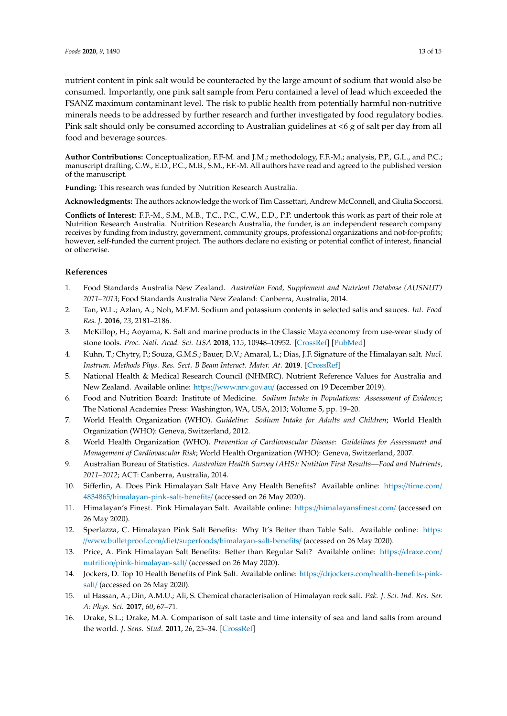nutrient content in pink salt would be counteracted by the large amount of sodium that would also be consumed. Importantly, one pink salt sample from Peru contained a level of lead which exceeded the FSANZ maximum contaminant level. The risk to public health from potentially harmful non-nutritive minerals needs to be addressed by further research and further investigated by food regulatory bodies. Pink salt should only be consumed according to Australian guidelines at <6 g of salt per day from all food and beverage sources.

**Author Contributions:** Conceptualization, F.F-M. and J.M.; methodology, F.F.-M.; analysis, P.P., G.L., and P.C.; manuscript drafting, C.W., E.D., P.C., M.B., S.M., F.F.-M. All authors have read and agreed to the published version of the manuscript.

**Funding:** This research was funded by Nutrition Research Australia.

**Acknowledgments:** The authors acknowledge the work of Tim Cassettari, Andrew McConnell, and Giulia Soccorsi.

**Conflicts of Interest:** F.F.-M., S.M., M.B., T.C., P.C., C.W., E.D., P.P. undertook this work as part of their role at Nutrition Research Australia. Nutrition Research Australia, the funder, is an independent research company receives by funding from industry, government, community groups, professional organizations and not-for-profits; however, self-funded the current project. The authors declare no existing or potential conflict of interest, financial or otherwise.

## **References**

- <span id="page-12-0"></span>1. Food Standards Australia New Zealand. *Australian Food, Supplement and Nutrient Database (AUSNUT) 2011–2013*; Food Standards Australia New Zealand: Canberra, Australia, 2014.
- <span id="page-12-1"></span>2. Tan, W.L.; Azlan, A.; Noh, M.F.M. Sodium and potassium contents in selected salts and sauces. *Int. Food Res. J.* **2016**, *23*, 2181–2186.
- <span id="page-12-2"></span>3. McKillop, H.; Aoyama, K. Salt and marine products in the Classic Maya economy from use-wear study of stone tools. *Proc. Natl. Acad. Sci. USA* **2018**, *115*, 10948–10952. [\[CrossRef\]](http://dx.doi.org/10.1073/pnas.1803639115) [\[PubMed\]](http://www.ncbi.nlm.nih.gov/pubmed/30297416)
- <span id="page-12-3"></span>4. Kuhn, T.; Chytry, P.; Souza, G.M.S.; Bauer, D.V.; Amaral, L.; Dias, J.F. Signature of the Himalayan salt. *Nucl. Instrum. Methods Phys. Res. Sect. B Beam Interact. Mater. At.* **2019**. [\[CrossRef\]](http://dx.doi.org/10.1016/j.nimb.2019.07.008)
- <span id="page-12-4"></span>5. National Health & Medical Research Council (NHMRC). Nutrient Reference Values for Australia and New Zealand. Available online: https://[www.nrv.gov.au](https://www.nrv.gov.au/)/ (accessed on 19 December 2019).
- <span id="page-12-5"></span>6. Food and Nutrition Board: Institute of Medicine. *Sodium Intake in Populations: Assessment of Evidence*; The National Academies Press: Washington, WA, USA, 2013; Volume 5, pp. 19–20.
- <span id="page-12-6"></span>7. World Health Organization (WHO). *Guideline: Sodium Intake for Adults and Children*; World Health Organization (WHO): Geneva, Switzerland, 2012.
- <span id="page-12-7"></span>8. World Health Organization (WHO). *Prevention of Cardiovascular Disease: Guidelines for Assessment and Management of Cardiovascular Risk*; World Health Organization (WHO): Geneva, Switzerland, 2007.
- <span id="page-12-8"></span>9. Australian Bureau of Statistics. *Australian Health Survey (AHS): Nutition First Results—Food and Nutrients, 2011–2012*; ACT: Canberra, Australia, 2014.
- <span id="page-12-9"></span>10. Sifferlin, A. Does Pink Himalayan Salt Have Any Health Benefits? Available online: https://[time.com](https://time.com/4834865/himalayan-pink-salt-benefits/)/ 4834865/[himalayan-pink-salt-benefits](https://time.com/4834865/himalayan-pink-salt-benefits/)/ (accessed on 26 May 2020).
- <span id="page-12-10"></span>11. Himalayan's Finest. Pink Himalayan Salt. Available online: https://[himalayansfinest.com](https://himalayansfinest.com/)/ (accessed on 26 May 2020).
- 12. Sperlazza, C. Himalayan Pink Salt Benefits: Why It's Better than Table Salt. Available online: [https:](https://www.bulletproof.com/diet/superfoods/himalayan-salt-benefits/) //www.bulletproof.com/diet/superfoods/[himalayan-salt-benefits](https://www.bulletproof.com/diet/superfoods/himalayan-salt-benefits/)/ (accessed on 26 May 2020).
- 13. Price, A. Pink Himalayan Salt Benefits: Better than Regular Salt? Available online: https://[draxe.com](https://draxe.com/nutrition/pink-himalayan-salt/)/ nutrition/[pink-himalayan-salt](https://draxe.com/nutrition/pink-himalayan-salt/)/ (accessed on 26 May 2020).
- <span id="page-12-11"></span>14. Jockers, D. Top 10 Health Benefits of Pink Salt. Available online: https://drjockers.com/[health-benefits-pink](https://drjockers.com/health-benefits-pink-salt/)[salt](https://drjockers.com/health-benefits-pink-salt/)/ (accessed on 26 May 2020).
- <span id="page-12-12"></span>15. ul Hassan, A.; Din, A.M.U.; Ali, S. Chemical characterisation of Himalayan rock salt. *Pak. J. Sci. Ind. Res. Ser. A: Phys. Sci.* **2017**, *60*, 67–71.
- <span id="page-12-13"></span>16. Drake, S.L.; Drake, M.A. Comparison of salt taste and time intensity of sea and land salts from around the world. *J. Sens. Stud.* **2011**, *26*, 25–34. [\[CrossRef\]](http://dx.doi.org/10.1111/j.1745-459X.2010.00317.x)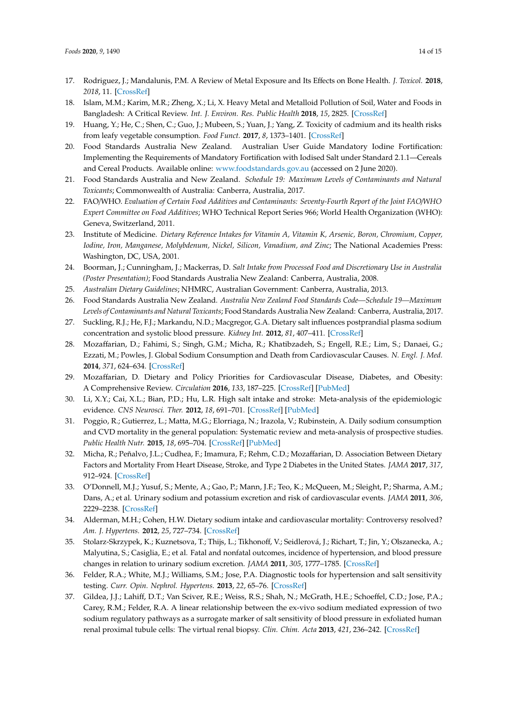- <span id="page-13-14"></span>17. Rodriguez, J.; Mandalunis, P.M. A Review of Metal Exposure and Its Effects on Bone Health. *J. Toxicol.* **2018**, *2018*, 11. [\[CrossRef\]](http://dx.doi.org/10.1155/2018/4854152)
- <span id="page-13-15"></span>18. Islam, M.M.; Karim, M.R.; Zheng, X.; Li, X. Heavy Metal and Metalloid Pollution of Soil, Water and Foods in Bangladesh: A Critical Review. *Int. J. Environ. Res. Public Health* **2018**, *15*, 2825. [\[CrossRef\]](http://dx.doi.org/10.3390/ijerph15122825)
- <span id="page-13-0"></span>19. Huang, Y.; He, C.; Shen, C.; Guo, J.; Mubeen, S.; Yuan, J.; Yang, Z. Toxicity of cadmium and its health risks from leafy vegetable consumption. *Food Funct.* **2017**, *8*, 1373–1401. [\[CrossRef\]](http://dx.doi.org/10.1039/C6FO01580H)
- <span id="page-13-1"></span>20. Food Standards Australia New Zealand. Australian User Guide Mandatory Iodine Fortification: Implementing the Requirements of Mandatory Fortification with Iodised Salt under Standard 2.1.1—Cereals and Cereal Products. Available online: <www.foodstandards.gov.au> (accessed on 2 June 2020).
- <span id="page-13-2"></span>21. Food Standards Australia and New Zealand. *Schedule 19: Maximum Levels of Contaminants and Natural Toxicants*; Commonwealth of Australia: Canberra, Australia, 2017.
- <span id="page-13-3"></span>22. FAO/WHO. *Evaluation of Certain Food Additives and Contaminants: Seventy-Fourth Report of the Joint FAO*/*WHO Expert Committee on Food Additives*; WHO Technical Report Series 966; World Health Organization (WHO): Geneva, Switzerland, 2011.
- <span id="page-13-4"></span>23. Institute of Medicine. *Dietary Reference Intakes for Vitamin A, Vitamin K, Arsenic, Boron, Chromium, Copper, Iodine, Iron, Manganese, Molybdenum, Nickel, Silicon, Vanadium, and Zinc*; The National Academies Press: Washington, DC, USA, 2001.
- <span id="page-13-5"></span>24. Boorman, J.; Cunningham, J.; Mackerras, D. *Salt Intake from Processed Food and Discretionary Use in Australia (Poster Presentation)*; Food Standards Australia New Zealand: Canberra, Australia, 2008.
- <span id="page-13-6"></span>25. *Australian Dietary Guidelines*; NHMRC, Australian Government: Canberra, Australia, 2013.
- <span id="page-13-7"></span>26. Food Standards Australia New Zealand. *Australia New Zealand Food Standards Code—Schedule 19—Maximum Levels of Contaminants and Natural Toxicants*; Food Standards Australia New Zealand: Canberra, Australia, 2017.
- <span id="page-13-8"></span>27. Suckling, R.J.; He, F.J.; Markandu, N.D.; Macgregor, G.A. Dietary salt influences postprandial plasma sodium concentration and systolic blood pressure. *Kidney Int.* **2012**, *81*, 407–411. [\[CrossRef\]](http://dx.doi.org/10.1038/ki.2011.369)
- 28. Mozaffarian, D.; Fahimi, S.; Singh, G.M.; Micha, R.; Khatibzadeh, S.; Engell, R.E.; Lim, S.; Danaei, G.; Ezzati, M.; Powles, J. Global Sodium Consumption and Death from Cardiovascular Causes. *N. Engl. J. Med.* **2014**, *371*, 624–634. [\[CrossRef\]](http://dx.doi.org/10.1056/NEJMoa1304127)
- 29. Mozaffarian, D. Dietary and Policy Priorities for Cardiovascular Disease, Diabetes, and Obesity: A Comprehensive Review. *Circulation* **2016**, *133*, 187–225. [\[CrossRef\]](http://dx.doi.org/10.1161/CIRCULATIONAHA.115.018585) [\[PubMed\]](http://www.ncbi.nlm.nih.gov/pubmed/26746178)
- 30. Li, X.Y.; Cai, X.L.; Bian, P.D.; Hu, L.R. High salt intake and stroke: Meta-analysis of the epidemiologic evidence. *CNS Neurosci. Ther.* **2012**, *18*, 691–701. [\[CrossRef\]](http://dx.doi.org/10.1111/j.1755-5949.2012.00355.x) [\[PubMed\]](http://www.ncbi.nlm.nih.gov/pubmed/22742770)
- 31. Poggio, R.; Gutierrez, L.; Matta, M.G.; Elorriaga, N.; Irazola, V.; Rubinstein, A. Daily sodium consumption and CVD mortality in the general population: Systematic review and meta-analysis of prospective studies. *Public Health Nutr.* **2015**, *18*, 695–704. [\[CrossRef\]](http://dx.doi.org/10.1017/S1368980014000949) [\[PubMed\]](http://www.ncbi.nlm.nih.gov/pubmed/24848764)
- <span id="page-13-9"></span>32. Micha, R.; Peñalvo, J.L.; Cudhea, F.; Imamura, F.; Rehm, C.D.; Mozaffarian, D. Association Between Dietary Factors and Mortality From Heart Disease, Stroke, and Type 2 Diabetes in the United States. *JAMA* **2017**, *317*, 912–924. [\[CrossRef\]](http://dx.doi.org/10.1001/jama.2017.0947)
- <span id="page-13-10"></span>33. O'Donnell, M.J.; Yusuf, S.; Mente, A.; Gao, P.; Mann, J.F.; Teo, K.; McQueen, M.; Sleight, P.; Sharma, A.M.; Dans, A.; et al. Urinary sodium and potassium excretion and risk of cardiovascular events. *JAMA* **2011**, *306*, 2229–2238. [\[CrossRef\]](http://dx.doi.org/10.1001/jama.2011.1729)
- 34. Alderman, M.H.; Cohen, H.W. Dietary sodium intake and cardiovascular mortality: Controversy resolved? *Am. J. Hypertens.* **2012**, *25*, 727–734. [\[CrossRef\]](http://dx.doi.org/10.1038/ajh.2012.52)
- <span id="page-13-11"></span>35. Stolarz-Skrzypek, K.; Kuznetsova, T.; Thijs, L.; Tikhonoff, V.; Seidlerová, J.; Richart, T.; Jin, Y.; Olszanecka, A.; Malyutina, S.; Casiglia, E.; et al. Fatal and nonfatal outcomes, incidence of hypertension, and blood pressure changes in relation to urinary sodium excretion. *JAMA* **2011**, *305*, 1777–1785. [\[CrossRef\]](http://dx.doi.org/10.1001/jama.2011.574)
- <span id="page-13-12"></span>36. Felder, R.A.; White, M.J.; Williams, S.M.; Jose, P.A. Diagnostic tools for hypertension and salt sensitivity testing. *Curr. Opin. Nephrol. Hypertens.* **2013**, *22*, 65–76. [\[CrossRef\]](http://dx.doi.org/10.1097/MNH.0b013e32835b3693)
- <span id="page-13-13"></span>37. Gildea, J.J.; Lahiff, D.T.; Van Sciver, R.E.; Weiss, R.S.; Shah, N.; McGrath, H.E.; Schoeffel, C.D.; Jose, P.A.; Carey, R.M.; Felder, R.A. A linear relationship between the ex-vivo sodium mediated expression of two sodium regulatory pathways as a surrogate marker of salt sensitivity of blood pressure in exfoliated human renal proximal tubule cells: The virtual renal biopsy. *Clin. Chim. Acta* **2013**, *421*, 236–242. [\[CrossRef\]](http://dx.doi.org/10.1016/j.cca.2013.02.021)